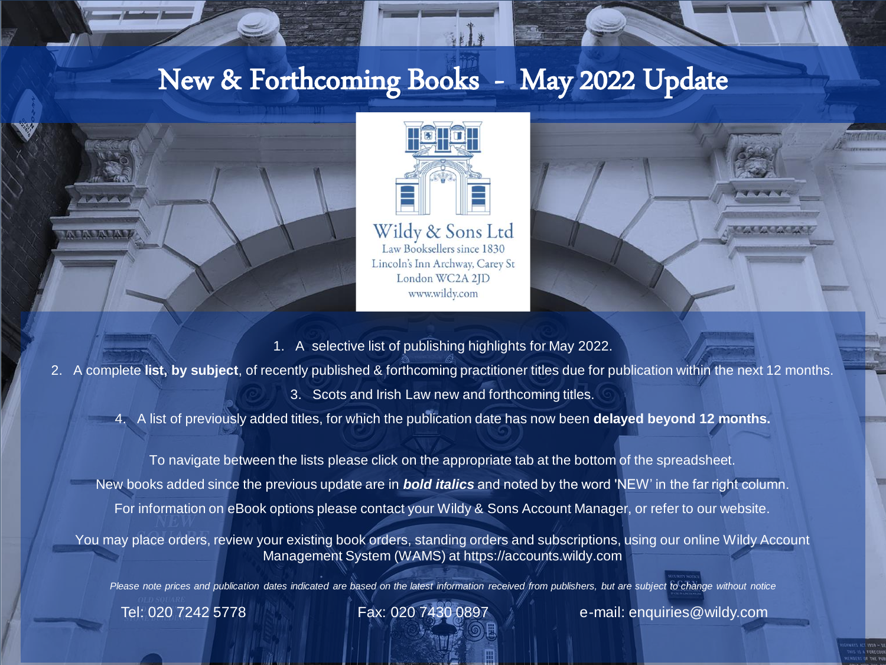# New & Forthcoming Books - May 2022 Update





Wildy & Sons Ltd Law Booksellers since 1830 Lincoln's Inn Archway, Carey St London WC2A 2JD www.wildy.com



- 1. A selective list of publishing highlights for May 2022.
- 2. A complete **list, by subject**, of recently published & forthcoming practitioner titles due for publication within the next 12 months.
	- 3. Scots and Irish Law new and forthcoming titles.

4. A list of previously added titles, for which the publication date has now been **delayed beyond 12 months.**

To navigate between the lists please click on the appropriate tab at the bottom of the spreadsheet. New books added since the previous update are in *bold italics* and noted by the word 'NEW' in the far right column. For information on eBook options please contact your Wildy & Sons Account Manager, or refer to our website.

You may place orders, review your existing book orders, standing orders and subscriptions, using our online Wildy Account Management System (WAMS) at https://accounts.wildy.com

*Please note prices and publication dates indicated are based on the latest information received from publishers, but are subject to change without notice*

Tel: 020 7242 5778 Fax: 020 7430 0897 e-mail: enquiries@wildy.com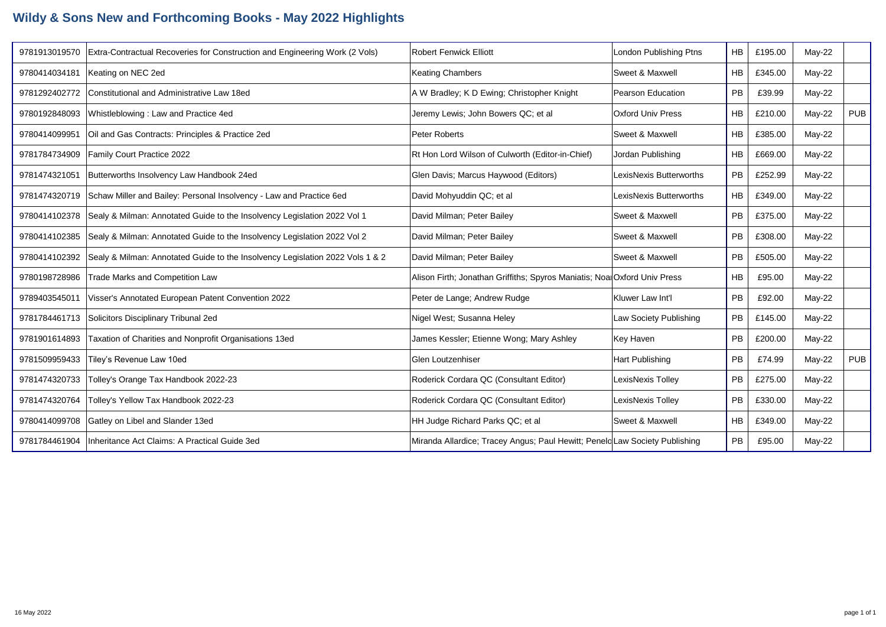## **Wildy & Sons New and Forthcoming Books - May 2022 Highlights**

| 9781913019570 | Extra-Contractual Recoveries for Construction and Engineering Work (2 Vols)   | Robert Fenwick Elliott                                                      | London Publishing Ptns     | <b>HB</b> | £195.00 | $May-22$ |            |
|---------------|-------------------------------------------------------------------------------|-----------------------------------------------------------------------------|----------------------------|-----------|---------|----------|------------|
| 9780414034181 | Keating on NEC 2ed                                                            | <b>Keating Chambers</b>                                                     | Sweet & Maxwell            | <b>HB</b> | £345.00 | $May-22$ |            |
| 9781292402772 | Constitutional and Administrative Law 18ed                                    | A W Bradley; K D Ewing; Christopher Knight                                  | Pearson Education          | <b>PB</b> | £39.99  | May-22   |            |
| 9780192848093 | Whistleblowing: Law and Practice 4ed                                          | Jeremy Lewis; John Bowers QC; et al                                         | <b>Oxford Univ Press</b>   | <b>HB</b> | £210.00 | May-22   | <b>PUB</b> |
| 9780414099951 | Oil and Gas Contracts: Principles & Practice 2ed                              | Peter Roberts                                                               | <b>Sweet &amp; Maxwell</b> | <b>HB</b> | £385.00 | $May-22$ |            |
| 9781784734909 | Family Court Practice 2022                                                    | Rt Hon Lord Wilson of Culworth (Editor-in-Chief)                            | Jordan Publishing          | <b>HB</b> | £669.00 | May-22   |            |
| 9781474321051 | Butterworths Insolvency Law Handbook 24ed                                     | Glen Davis; Marcus Haywood (Editors)                                        | LexisNexis Butterworths    | PB        | £252.99 | May-22   |            |
| 9781474320719 | Schaw Miller and Bailey: Personal Insolvency - Law and Practice 6ed           | David Mohyuddin QC; et al                                                   | LexisNexis Butterworths    | <b>HB</b> | £349.00 | May-22   |            |
| 9780414102378 | Sealy & Milman: Annotated Guide to the Insolvency Legislation 2022 Vol 1      | David Milman; Peter Bailey                                                  | Sweet & Maxwell            | PB        | £375.00 | May-22   |            |
| 9780414102385 | Sealy & Milman: Annotated Guide to the Insolvency Legislation 2022 Vol 2      | David Milman; Peter Bailey                                                  | Sweet & Maxwell            | PB        | £308.00 | $Mav-22$ |            |
| 9780414102392 | Sealy & Milman: Annotated Guide to the Insolvency Legislation 2022 Vols 1 & 2 | David Milman; Peter Bailey                                                  | Sweet & Maxwell            | <b>PB</b> | £505.00 | May-22   |            |
| 9780198728986 | Trade Marks and Competition Law                                               | Alison Firth; Jonathan Griffiths; Spyros Maniatis; Noal Oxford Univ Press   |                            | HB        | £95.00  | May-22   |            |
| 9789403545011 | Visser's Annotated European Patent Convention 2022                            | Peter de Lange; Andrew Rudge                                                | Kluwer Law Int'l           | <b>PB</b> | £92.00  | May-22   |            |
| 9781784461713 | Solicitors Disciplinary Tribunal 2ed                                          | Nigel West; Susanna Heley                                                   | Law Society Publishing     | <b>PB</b> | £145.00 | $Mav-22$ |            |
| 9781901614893 | Taxation of Charities and Nonprofit Organisations 13ed                        | James Kessler; Etienne Wong; Mary Ashley                                    | Key Haven                  | <b>PB</b> | £200.00 | May-22   |            |
| 9781509959433 | Tiley's Revenue Law 10ed                                                      | <b>Glen Loutzenhiser</b>                                                    | Hart Publishing            | <b>PB</b> | £74.99  | May-22   | <b>PUB</b> |
| 9781474320733 | Tolley's Orange Tax Handbook 2022-23                                          | Roderick Cordara QC (Consultant Editor)                                     | LexisNexis Tolley          | PB        | £275.00 | $Mav-22$ |            |
| 9781474320764 | Tolley's Yellow Tax Handbook 2022-23                                          | Roderick Cordara QC (Consultant Editor)                                     | LexisNexis Tolley          | PB        | £330.00 | May-22   |            |
| 9780414099708 | Gatley on Libel and Slander 13ed                                              | HH Judge Richard Parks QC; et al                                            | Sweet & Maxwell            | <b>HB</b> | £349.00 | $May-22$ |            |
| 9781784461904 | Inheritance Act Claims: A Practical Guide 3ed                                 | Miranda Allardice; Tracey Angus; Paul Hewitt; Peneld Law Society Publishing |                            | PB        | £95.00  | $May-22$ |            |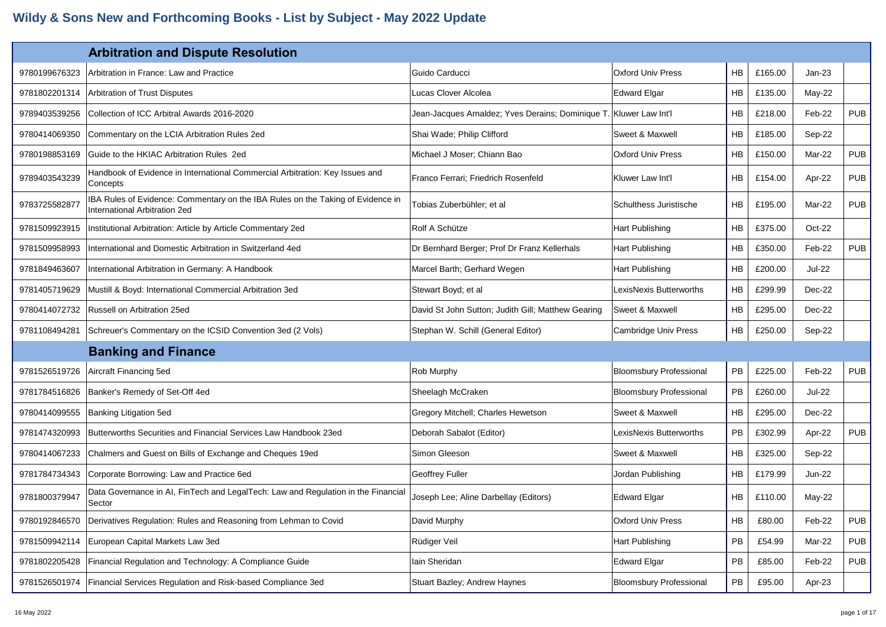|               | <b>Arbitration and Dispute Resolution</b>                                                                               |                                                                    |                                |           |         |               |            |
|---------------|-------------------------------------------------------------------------------------------------------------------------|--------------------------------------------------------------------|--------------------------------|-----------|---------|---------------|------------|
| 9780199676323 | Arbitration in France: Law and Practice                                                                                 | Guido Carducci                                                     | <b>Oxford Univ Press</b>       | <b>HB</b> | £165.00 | $Jan-23$      |            |
| 9781802201314 | Arbitration of Trust Disputes                                                                                           | Lucas Clover Alcolea                                               | <b>Edward Elgar</b>            | HB.       | £135.00 | May-22        |            |
| 9789403539256 | Collection of ICC Arbitral Awards 2016-2020                                                                             | Jean-Jacques Arnaldez; Yves Derains; Dominique T. Kluwer Law Int'l |                                | HB.       | £218.00 | Feb-22        | <b>PUB</b> |
| 9780414069350 | Commentary on the LCIA Arbitration Rules 2ed                                                                            | Shai Wade; Philip Clifford                                         | Sweet & Maxwell                | <b>HB</b> | £185.00 | Sep-22        |            |
| 9780198853169 | Guide to the HKIAC Arbitration Rules 2ed                                                                                | Michael J Moser; Chiann Bao                                        | <b>Oxford Univ Press</b>       | HB        | £150.00 | Mar-22        | <b>PUB</b> |
| 9789403543239 | Handbook of Evidence in International Commercial Arbitration: Key Issues and<br>Concepts                                | Franco Ferrari; Friedrich Rosenfeld                                | Kluwer Law Int'l               | <b>HB</b> | £154.00 | Apr-22        | <b>PUB</b> |
| 9783725582877 | IBA Rules of Evidence: Commentary on the IBA Rules on the Taking of Evidence in<br><b>International Arbitration 2ed</b> | Tobias Zuberbühler; et al                                          | Schulthess Juristische         | HB        | £195.00 | Mar-22        | <b>PUB</b> |
| 9781509923915 | Institutional Arbitration: Article by Article Commentary 2ed                                                            | Rolf A Schütze                                                     | Hart Publishing                | <b>HB</b> | £375.00 | Oct-22        |            |
| 9781509958993 | International and Domestic Arbitration in Switzerland 4ed                                                               | Dr Bernhard Berger; Prof Dr Franz Kellerhals                       | Hart Publishing                | <b>HB</b> | £350.00 | Feb-22        | <b>PUB</b> |
| 9781849463607 | International Arbitration in Germany: A Handbook                                                                        | Marcel Barth; Gerhard Wegen                                        | Hart Publishing                | HB.       | £200.00 | <b>Jul-22</b> |            |
| 9781405719629 | Mustill & Boyd: International Commercial Arbitration 3ed                                                                | Stewart Boyd; et al                                                | LexisNexis Butterworths        | HB        | £299.99 | Dec-22        |            |
| 9780414072732 | Russell on Arbitration 25ed                                                                                             | David St John Sutton; Judith Gill; Matthew Gearing                 | Sweet & Maxwell                | <b>HB</b> | £295.00 | Dec-22        |            |
| 9781108494281 | Schreuer's Commentary on the ICSID Convention 3ed (2 Vols)                                                              | Stephan W. Schill (General Editor)                                 | Cambridge Univ Press           | <b>HB</b> | £250.00 | Sep-22        |            |
|               | <b>Banking and Finance</b>                                                                                              |                                                                    |                                |           |         |               |            |
| 9781526519726 | Aircraft Financing 5ed                                                                                                  | Rob Murphy                                                         | <b>Bloomsbury Professional</b> | <b>PB</b> | £225.00 | Feb-22        | <b>PUB</b> |
| 9781784516826 | Banker's Remedy of Set-Off 4ed                                                                                          | Sheelagh McCraken                                                  | <b>Bloomsbury Professional</b> | <b>PB</b> | £260.00 | Jul-22        |            |
| 9780414099555 | Banking Litigation 5ed                                                                                                  | Gregory Mitchell; Charles Hewetson                                 | Sweet & Maxwell                | <b>HB</b> | £295.00 | Dec-22        |            |
| 9781474320993 | Butterworths Securities and Financial Services Law Handbook 23ed                                                        | Deborah Sabalot (Editor)                                           | LexisNexis Butterworths        | <b>PB</b> | £302.99 | Apr-22        | <b>PUB</b> |
| 9780414067233 | Chalmers and Guest on Bills of Exchange and Cheques 19ed                                                                | Simon Gleeson                                                      | Sweet & Maxwell                | <b>HB</b> | £325.00 | Sep-22        |            |
| 9781784734343 | Corporate Borrowing: Law and Practice 6ed                                                                               | <b>Geoffrey Fuller</b>                                             | Jordan Publishing              | HB        | £179.99 | Jun-22        |            |
| 9781800379947 | Data Governance in AI, FinTech and LegalTech: Law and Regulation in the Financial<br>Sector                             | Joseph Lee; Aline Darbellay (Editors)                              | <b>Edward Elgar</b>            | HB        | £110.00 | $May-22$      |            |
| 9780192846570 | Derivatives Regulation: Rules and Reasoning from Lehman to Covid                                                        | David Murphy                                                       | Oxford Univ Press              | HB        | £80.00  | Feb-22        | <b>PUB</b> |
| 9781509942114 | European Capital Markets Law 3ed                                                                                        | Rüdiger Veil                                                       | Hart Publishing                | <b>PB</b> | £54.99  | Mar-22        | <b>PUB</b> |
| 9781802205428 | Financial Regulation and Technology: A Compliance Guide                                                                 | lain Sheridan                                                      | <b>Edward Elgar</b>            | PB        | £85.00  | Feb-22        | <b>PUB</b> |
| 9781526501974 | Financial Services Regulation and Risk-based Compliance 3ed                                                             | Stuart Bazley; Andrew Haynes                                       | <b>Bloomsbury Professional</b> | PB        | £95.00  | Apr-23        |            |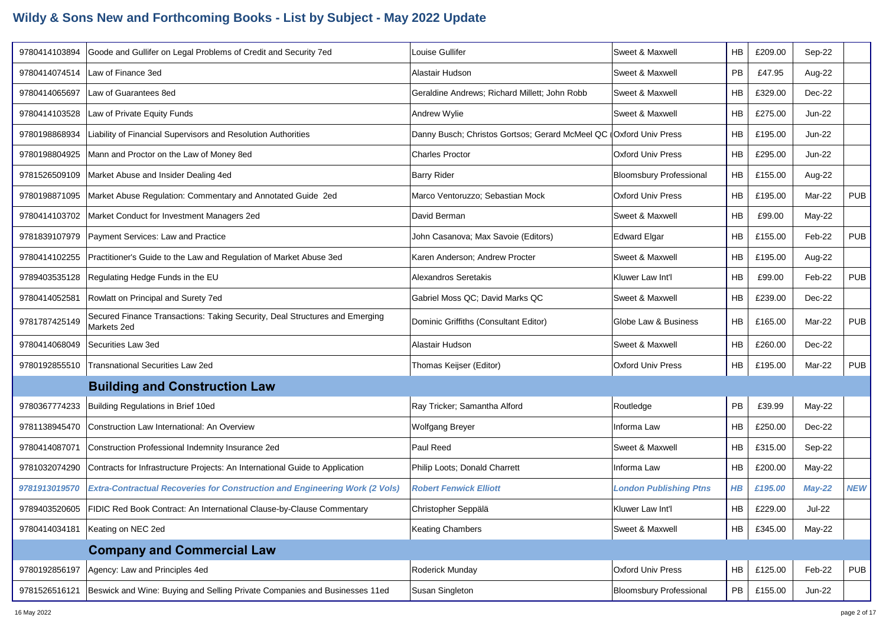| 9780414103894 | Goode and Gullifer on Legal Problems of Credit and Security 7ed                            | Louise Gullifer                                                    | Sweet & Maxwell                | <b>HB</b> | £209.00 | Sep-22        |            |
|---------------|--------------------------------------------------------------------------------------------|--------------------------------------------------------------------|--------------------------------|-----------|---------|---------------|------------|
| 9780414074514 | Law of Finance 3ed                                                                         | Alastair Hudson                                                    | Sweet & Maxwell                | PB        | £47.95  | Aug-22        |            |
| 9780414065697 | Law of Guarantees 8ed                                                                      | Geraldine Andrews; Richard Millett; John Robb                      | Sweet & Maxwell                | HB        | £329.00 | Dec-22        |            |
| 9780414103528 | Law of Private Equity Funds                                                                | Andrew Wylie                                                       | Sweet & Maxwell                | <b>HB</b> | £275.00 | <b>Jun-22</b> |            |
| 9780198868934 | Liability of Financial Supervisors and Resolution Authorities                              | Danny Busch; Christos Gortsos; Gerard McMeel QC (Oxford Univ Press |                                | HB        | £195.00 | <b>Jun-22</b> |            |
| 9780198804925 | Mann and Proctor on the Law of Money 8ed                                                   | <b>Charles Proctor</b>                                             | <b>Oxford Univ Press</b>       | HB        | £295.00 | <b>Jun-22</b> |            |
| 9781526509109 | Market Abuse and Insider Dealing 4ed                                                       | <b>Barry Rider</b>                                                 | <b>Bloomsbury Professional</b> | <b>HB</b> | £155.00 | Aug-22        |            |
| 9780198871095 | Market Abuse Regulation: Commentary and Annotated Guide 2ed                                | Marco Ventoruzzo; Sebastian Mock                                   | <b>Oxford Univ Press</b>       | <b>HB</b> | £195.00 | Mar-22        | <b>PUB</b> |
| 9780414103702 | Market Conduct for Investment Managers 2ed                                                 | David Berman                                                       | Sweet & Maxwell                | HB        | £99.00  | May-22        |            |
| 9781839107979 | Payment Services: Law and Practice                                                         | John Casanova; Max Savoie (Editors)                                | <b>Edward Elgar</b>            | HB        | £155.00 | Feb-22        | <b>PUB</b> |
| 9780414102255 | Practitioner's Guide to the Law and Regulation of Market Abuse 3ed                         | Karen Anderson; Andrew Procter                                     | Sweet & Maxwell                | <b>HB</b> | £195.00 | Aug-22        |            |
| 9789403535128 | Regulating Hedge Funds in the EU                                                           | <b>Alexandros Seretakis</b>                                        | Kluwer Law Int'l               | <b>HB</b> | £99.00  | Feb-22        | <b>PUB</b> |
| 9780414052581 | Rowlatt on Principal and Surety 7ed                                                        | Gabriel Moss QC; David Marks QC                                    | Sweet & Maxwell                | HB        | £239.00 | Dec-22        |            |
| 9781787425149 | Secured Finance Transactions: Taking Security, Deal Structures and Emerging<br>Markets 2ed | Dominic Griffiths (Consultant Editor)                              | Globe Law & Business           | <b>HB</b> | £165.00 | Mar-22        | <b>PUB</b> |
| 9780414068049 | Securities Law 3ed                                                                         | Alastair Hudson                                                    | Sweet & Maxwell                | <b>HB</b> | £260.00 | Dec-22        |            |
| 9780192855510 | <b>Transnational Securities Law 2ed</b>                                                    | Thomas Keijser (Editor)                                            | <b>Oxford Univ Press</b>       | HB        | £195.00 | Mar-22        | <b>PUB</b> |
|               | <b>Building and Construction Law</b>                                                       |                                                                    |                                |           |         |               |            |
| 9780367774233 | Building Regulations in Brief 10ed                                                         | Ray Tricker; Samantha Alford                                       | Routledge                      | PB        | £39.99  | May-22        |            |
| 9781138945470 | Construction Law International: An Overview                                                | Wolfgang Breyer                                                    | Informa Law                    | HB        | £250.00 | Dec-22        |            |
| 9780414087071 | Construction Professional Indemnity Insurance 2ed                                          | Paul Reed                                                          | Sweet & Maxwell                | <b>HB</b> | £315.00 | Sep-22        |            |
| 9781032074290 | Contracts for Infrastructure Projects: An International Guide to Application               | Philip Loots; Donald Charrett                                      | Informa Law                    | HB        | £200.00 | $May-22$      |            |
| 9781913019570 | <b>Extra-Contractual Recoveries for Construction and Engineering Work (2 Vols)</b>         | <b>Robert Fenwick Elliott</b>                                      | <b>London Publishing Ptns</b>  | $H$ $B$   | £195.00 | $May-22$      | <b>NEW</b> |
|               | 9789403520605   FIDIC Red Book Contract: An International Clause-by-Clause Commentary      | Christopher Seppälä                                                | Kluwer Law Int'l               | <b>HB</b> | £229.00 | Jul-22        |            |
| 9780414034181 | Keating on NEC 2ed                                                                         | <b>Keating Chambers</b>                                            | Sweet & Maxwell                | HB        | £345.00 | May-22        |            |
|               | <b>Company and Commercial Law</b>                                                          |                                                                    |                                |           |         |               |            |
| 9780192856197 | Agency: Law and Principles 4ed                                                             | Roderick Munday                                                    | Oxford Univ Press              | HB        | £125.00 | Feb-22        | <b>PUB</b> |
| 9781526516121 | Beswick and Wine: Buying and Selling Private Companies and Businesses 11ed                 | Susan Singleton                                                    | <b>Bloomsbury Professional</b> | PB        | £155.00 | <b>Jun-22</b> |            |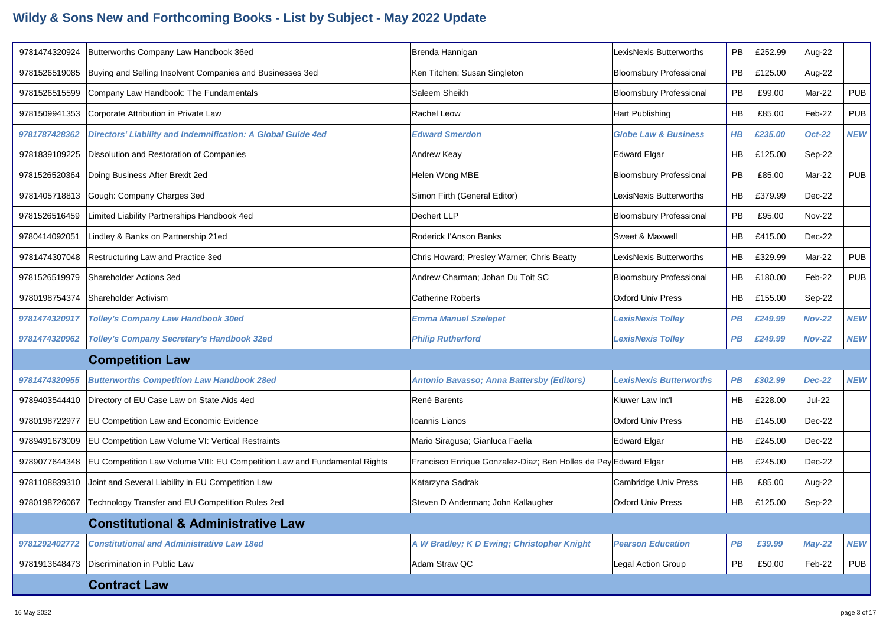| 9781474320924 | Butterworths Company Law Handbook 36ed                                    | Brenda Hannigan                                                 | LexisNexis Butterworths         | PB        | £252.99 | Aug-22        |            |
|---------------|---------------------------------------------------------------------------|-----------------------------------------------------------------|---------------------------------|-----------|---------|---------------|------------|
| 9781526519085 | Buying and Selling Insolvent Companies and Businesses 3ed                 | Ken Titchen; Susan Singleton                                    | <b>Bloomsbury Professional</b>  | <b>PB</b> | £125.00 | Aug-22        |            |
| 9781526515599 | Company Law Handbook: The Fundamentals                                    | Saleem Sheikh                                                   | <b>Bloomsbury Professional</b>  | PB        | £99.00  | Mar-22        | <b>PUB</b> |
| 9781509941353 | Corporate Attribution in Private Law                                      | <b>Rachel Leow</b>                                              | Hart Publishing                 | HB        | £85.00  | Feb-22        | <b>PUB</b> |
| 9781787428362 | Directors' Liability and Indemnification: A Global Guide 4ed              | <b>Edward Smerdon</b>                                           | <b>Globe Law &amp; Business</b> | $H$ $B$   | £235.00 | <b>Oct-22</b> | <b>NEW</b> |
| 9781839109225 | Dissolution and Restoration of Companies                                  | Andrew Keay                                                     | <b>Edward Elgar</b>             | HB        | £125.00 | Sep-22        |            |
| 9781526520364 | Doing Business After Brexit 2ed                                           | Helen Wong MBE                                                  | <b>Bloomsbury Professional</b>  | <b>PB</b> | £85.00  | Mar-22        | <b>PUB</b> |
| 9781405718813 | Gough: Company Charges 3ed                                                | Simon Firth (General Editor)                                    | LexisNexis Butterworths         | <b>HB</b> | £379.99 | Dec-22        |            |
| 9781526516459 | Limited Liability Partnerships Handbook 4ed                               | Dechert LLP                                                     | <b>Bloomsbury Professional</b>  | PB        | £95.00  | <b>Nov-22</b> |            |
| 9780414092051 | Lindley & Banks on Partnership 21ed                                       | Roderick l'Anson Banks                                          | Sweet & Maxwell                 | HB        | £415.00 | $Dec-22$      |            |
| 9781474307048 | Restructuring Law and Practice 3ed                                        | Chris Howard; Presley Warner; Chris Beatty                      | LexisNexis Butterworths         | HB        | £329.99 | Mar-22        | <b>PUB</b> |
| 9781526519979 | Shareholder Actions 3ed                                                   | Andrew Charman; Johan Du Toit SC                                | <b>Bloomsbury Professional</b>  | <b>HB</b> | £180.00 | Feb-22        | <b>PUB</b> |
| 9780198754374 | Shareholder Activism                                                      | <b>Catherine Roberts</b>                                        | <b>Oxford Univ Press</b>        | <b>HB</b> | £155.00 | Sep-22        |            |
| 9781474320917 | <b>Tolley's Company Law Handbook 30ed</b>                                 | <b>Emma Manuel Szelepet</b>                                     | <b>LexisNexis Tolley</b>        | PB        | £249.99 | <b>Nov-22</b> | <b>NEW</b> |
| 9781474320962 | <b>Tolley's Company Secretary's Handbook 32ed</b>                         | <b>Philip Rutherford</b>                                        | <b>LexisNexis Tolley</b>        | PB        | £249.99 | <b>Nov-22</b> | <b>NEW</b> |
|               | <b>Competition Law</b>                                                    |                                                                 |                                 |           |         |               |            |
| 9781474320955 | <b>Butterworths Competition Law Handbook 28ed</b>                         | Antonio Bavasso; Anna Battersby (Editors)                       | <b>LexisNexis Butterworths</b>  | PB        | £302.99 | <b>Dec-22</b> | <b>NEW</b> |
| 9789403544410 | Directory of EU Case Law on State Aids 4ed                                | René Barents                                                    | Kluwer Law Int'l                | <b>HB</b> | £228.00 | <b>Jul-22</b> |            |
| 9780198722977 | EU Competition Law and Economic Evidence                                  | Ioannis Lianos                                                  | <b>Oxford Univ Press</b>        | HB        | £145.00 | Dec-22        |            |
| 9789491673009 | <b>EU Competition Law Volume VI: Vertical Restraints</b>                  | Mario Siragusa; Gianluca Faella                                 | <b>Edward Elgar</b>             | HB        | £245.00 | Dec-22        |            |
| 9789077644348 | EU Competition Law Volume VIII: EU Competition Law and Fundamental Rights | Francisco Enrique Gonzalez-Diaz; Ben Holles de Pey Edward Elgar |                                 | HB        | £245.00 | Dec-22        |            |
| 9781108839310 | Joint and Several Liability in EU Competition Law                         | Katarzyna Sadrak                                                | Cambridge Univ Press            | HB        | £85.00  | Aug-22        |            |
| 9780198726067 | Technology Transfer and EU Competition Rules 2ed                          | Steven D Anderman; John Kallaugher                              | <b>Oxford Univ Press</b>        | <b>HB</b> | £125.00 | Sep-22        |            |
|               | <b>Constitutional &amp; Administrative Law</b>                            |                                                                 |                                 |           |         |               |            |
| 9781292402772 | <b>Constitutional and Administrative Law 18ed</b>                         | A W Bradley; K D Ewing; Christopher Knight                      | <b>Pearson Education</b>        | PB        | £39.99  | $May-22$      | <b>NEW</b> |
| 9781913648473 | Discrimination in Public Law                                              | Adam Straw QC                                                   | Legal Action Group              | <b>PB</b> | £50.00  | Feb-22        | <b>PUB</b> |
|               | <b>Contract Law</b>                                                       |                                                                 |                                 |           |         |               |            |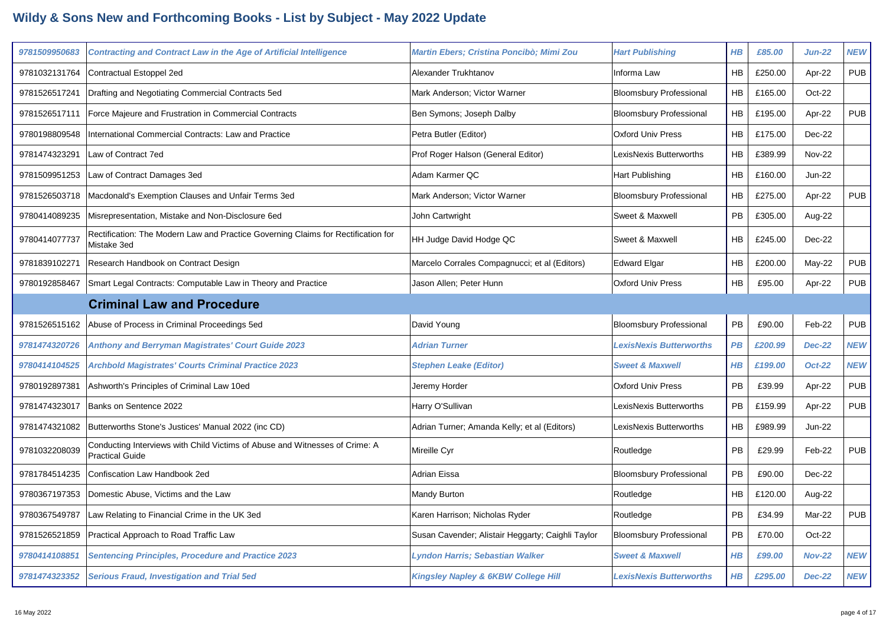| 9781509950683 |                                                                                                       |                                                   |                                |           |         |               |            |
|---------------|-------------------------------------------------------------------------------------------------------|---------------------------------------------------|--------------------------------|-----------|---------|---------------|------------|
|               | <b>Contracting and Contract Law in the Age of Artificial Intelligence</b>                             | Martin Ebers; Cristina Poncibò; Mimi Zou          | <b>Hart Publishing</b>         | $H$ $B$   | £85.00  | <b>Jun-22</b> | <b>NEW</b> |
| 9781032131764 | Contractual Estoppel 2ed                                                                              | Alexander Trukhtanov                              | Informa Law                    | <b>HB</b> | £250.00 | Apr-22        | <b>PUB</b> |
| 9781526517241 | Drafting and Negotiating Commercial Contracts 5ed                                                     | Mark Anderson; Victor Warner                      | <b>Bloomsbury Professional</b> | <b>HB</b> | £165.00 | Oct-22        |            |
| 9781526517111 | Force Majeure and Frustration in Commercial Contracts                                                 | Ben Symons; Joseph Dalby                          | <b>Bloomsbury Professional</b> | HB        | £195.00 | Apr-22        | <b>PUB</b> |
| 9780198809548 | International Commercial Contracts: Law and Practice                                                  | Petra Butler (Editor)                             | <b>Oxford Univ Press</b>       | HB        | £175.00 | Dec-22        |            |
| 9781474323291 | Law of Contract 7ed                                                                                   | Prof Roger Halson (General Editor)                | LexisNexis Butterworths        | HB        | £389.99 | <b>Nov-22</b> |            |
| 9781509951253 | Law of Contract Damages 3ed                                                                           | Adam Karmer QC                                    | Hart Publishing                | <b>HB</b> | £160.00 | <b>Jun-22</b> |            |
| 9781526503718 | Macdonald's Exemption Clauses and Unfair Terms 3ed                                                    | Mark Anderson; Victor Warner                      | <b>Bloomsbury Professional</b> | HB        | £275.00 | Apr-22        | <b>PUB</b> |
| 9780414089235 | Misrepresentation, Mistake and Non-Disclosure 6ed                                                     | John Cartwright                                   | Sweet & Maxwell                | PB        | £305.00 | Aug-22        |            |
| 9780414077737 | Rectification: The Modern Law and Practice Governing Claims for Rectification for<br>Mistake 3ed      | HH Judge David Hodge QC                           | Sweet & Maxwell                | HB        | £245.00 | Dec-22        |            |
| 9781839102271 | Research Handbook on Contract Design                                                                  | Marcelo Corrales Compagnucci; et al (Editors)     | <b>Edward Elgar</b>            | HB        | £200.00 | May-22        | <b>PUB</b> |
| 9780192858467 | Smart Legal Contracts: Computable Law in Theory and Practice                                          | Jason Allen; Peter Hunn                           | <b>Oxford Univ Press</b>       | HB        | £95.00  | Apr-22        | <b>PUB</b> |
|               | <b>Criminal Law and Procedure</b>                                                                     |                                                   |                                |           |         |               |            |
| 9781526515162 | Abuse of Process in Criminal Proceedings 5ed                                                          | David Young                                       | <b>Bloomsbury Professional</b> | <b>PB</b> | £90.00  | Feb-22        | <b>PUB</b> |
| 9781474320726 | <b>Anthony and Berryman Magistrates' Court Guide 2023</b>                                             | <b>Adrian Turner</b>                              | <b>LexisNexis Butterworths</b> | PB        | £200.99 | <b>Dec-22</b> | <b>NEW</b> |
| 9780414104525 |                                                                                                       |                                                   |                                |           |         |               |            |
|               | <b>Archbold Magistrates' Courts Criminal Practice 2023</b>                                            | <b>Stephen Leake (Editor)</b>                     | <b>Sweet &amp; Maxwell</b>     | $H$ $B$   | £199.00 | <b>Oct-22</b> | <b>NEW</b> |
| 9780192897381 | Ashworth's Principles of Criminal Law 10ed                                                            | Jeremy Horder                                     | <b>Oxford Univ Press</b>       | <b>PB</b> | £39.99  | Apr-22        | <b>PUB</b> |
| 9781474323017 | Banks on Sentence 2022                                                                                | Harry O'Sullivan                                  | LexisNexis Butterworths        | PB        | £159.99 | Apr-22        | <b>PUB</b> |
| 9781474321082 | Butterworths Stone's Justices' Manual 2022 (inc CD)                                                   | Adrian Turner; Amanda Kelly; et al (Editors)      | LexisNexis Butterworths        | HB        | £989.99 | <b>Jun-22</b> |            |
| 9781032208039 | Conducting Interviews with Child Victims of Abuse and Witnesses of Crime: A<br><b>Practical Guide</b> | Mireille Cyr                                      | Routledge                      | <b>PB</b> | £29.99  | Feb-22        | <b>PUB</b> |
| 9781784514235 | Confiscation Law Handbook 2ed                                                                         | Adrian Eissa                                      | <b>Bloomsbury Professional</b> | <b>PB</b> | £90.00  | Dec-22        |            |
| 9780367197353 | Domestic Abuse, Victims and the Law                                                                   | Mandy Burton                                      | Routledge                      | HB        | £120.00 | Aug-22        |            |
| 9780367549787 | Law Relating to Financial Crime in the UK 3ed                                                         | Karen Harrison; Nicholas Ryder                    | Routledge                      | PB        | £34.99  | Mar-22        | <b>PUB</b> |
| 9781526521859 | Practical Approach to Road Traffic Law                                                                | Susan Cavender; Alistair Heggarty; Caighli Taylor | <b>Bloomsbury Professional</b> | PB        | £70.00  | Oct-22        |            |
| 9780414108851 | <b>Sentencing Principles, Procedure and Practice 2023</b>                                             | Lyndon Harris; Sebastian Walker                   | <b>Sweet &amp; Maxwell</b>     | $H$ $B$   | £99.00  | <b>Nov-22</b> | <b>NEW</b> |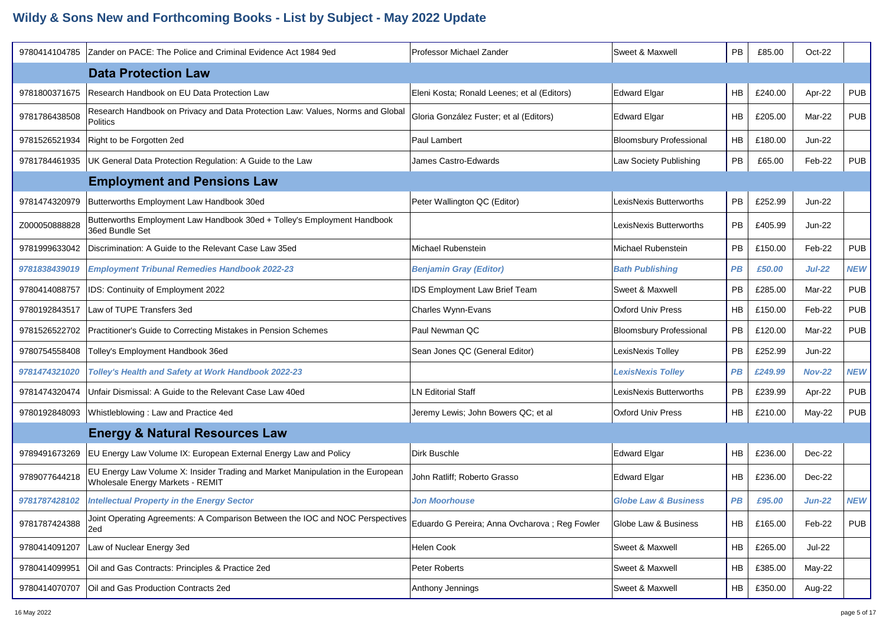| 9780414104785 | Zander on PACE: The Police and Criminal Evidence Act 1984 9ed                                                              | Professor Michael Zander                       | Sweet & Maxwell                 | <b>PB</b> | £85.00  | Oct-22        |            |
|---------------|----------------------------------------------------------------------------------------------------------------------------|------------------------------------------------|---------------------------------|-----------|---------|---------------|------------|
|               | <b>Data Protection Law</b>                                                                                                 |                                                |                                 |           |         |               |            |
| 9781800371675 | Research Handbook on EU Data Protection Law                                                                                | Eleni Kosta; Ronald Leenes; et al (Editors)    | <b>Edward Elgar</b>             | <b>HB</b> | £240.00 | Apr-22        | <b>PUB</b> |
| 9781786438508 | Research Handbook on Privacy and Data Protection Law: Values, Norms and Global<br>Politics                                 | Gloria González Fuster; et al (Editors)        | <b>Edward Elgar</b>             | <b>HB</b> | £205.00 | Mar-22        | <b>PUB</b> |
| 9781526521934 | Right to be Forgotten 2ed                                                                                                  | Paul Lambert                                   | <b>Bloomsbury Professional</b>  | <b>HB</b> | £180.00 | <b>Jun-22</b> |            |
| 9781784461935 | UK General Data Protection Regulation: A Guide to the Law                                                                  | James Castro-Edwards                           | Law Society Publishing          | PB        | £65.00  | Feb-22        | <b>PUB</b> |
|               | <b>Employment and Pensions Law</b>                                                                                         |                                                |                                 |           |         |               |            |
| 9781474320979 | Butterworths Employment Law Handbook 30ed                                                                                  | Peter Wallington QC (Editor)                   | LexisNexis Butterworths         | <b>PB</b> | £252.99 | <b>Jun-22</b> |            |
| Z000050888828 | Butterworths Employment Law Handbook 30ed + Tolley's Employment Handbook<br>36ed Bundle Set                                |                                                | LexisNexis Butterworths         | PB.       | £405.99 | Jun-22        |            |
| 9781999633042 | Discrimination: A Guide to the Relevant Case Law 35ed                                                                      | Michael Rubenstein                             | Michael Rubenstein              | PB.       | £150.00 | Feb-22        | <b>PUB</b> |
| 9781838439019 | <b>Employment Tribunal Remedies Handbook 2022-23</b>                                                                       | <b>Benjamin Gray (Editor)</b>                  | <b>Bath Publishing</b>          | <b>PB</b> | £50.00  | <b>Jul-22</b> | <b>NEW</b> |
| 9780414088757 | IDS: Continuity of Employment 2022                                                                                         | IDS Employment Law Brief Team                  | Sweet & Maxwell                 | <b>PB</b> | £285.00 | Mar-22        | <b>PUB</b> |
| 9780192843517 | Law of TUPE Transfers 3ed                                                                                                  | Charles Wynn-Evans                             | <b>Oxford Univ Press</b>        | <b>HB</b> | £150.00 | Feb-22        | <b>PUB</b> |
| 9781526522702 | Practitioner's Guide to Correcting Mistakes in Pension Schemes                                                             | Paul Newman QC                                 | <b>Bloomsbury Professional</b>  | PB        | £120.00 | Mar-22        | <b>PUB</b> |
| 9780754558408 | Tolley's Employment Handbook 36ed                                                                                          | Sean Jones QC (General Editor)                 | LexisNexis Tolley               | PB.       | £252.99 | Jun-22        |            |
| 9781474321020 | Tolley's Health and Safety at Work Handbook 2022-23                                                                        |                                                | <b>LexisNexis Tolley</b>        | <b>PB</b> | £249.99 | <b>Nov-22</b> | <b>NEW</b> |
| 9781474320474 | Unfair Dismissal: A Guide to the Relevant Case Law 40ed                                                                    | <b>LN Editorial Staff</b>                      | LexisNexis Butterworths         | PB        | £239.99 | Apr-22        | <b>PUB</b> |
| 9780192848093 | Whistleblowing: Law and Practice 4ed                                                                                       | Jeremy Lewis; John Bowers QC; et al            | <b>Oxford Univ Press</b>        | <b>HB</b> | £210.00 | $May-22$      | <b>PUB</b> |
|               | <b>Energy &amp; Natural Resources Law</b>                                                                                  |                                                |                                 |           |         |               |            |
| 9789491673269 | EU Energy Law Volume IX: European External Energy Law and Policy                                                           | Dirk Buschle                                   | <b>Edward Elgar</b>             | <b>HB</b> | £236.00 | Dec-22        |            |
| 9789077644218 | EU Energy Law Volume X: Insider Trading and Market Manipulation in the European<br><b>Wholesale Energy Markets - REMIT</b> | John Ratliff; Roberto Grasso                   | <b>Edward Elgar</b>             | <b>HB</b> | £236.00 | Dec-22        |            |
| 9781787428102 | <b>Intellectual Property in the Energy Sector</b>                                                                          | <b>Jon Moorhouse</b>                           | <b>Globe Law &amp; Business</b> | <b>PB</b> | £95.00  | <b>Jun-22</b> | <b>NEW</b> |
| 9781787424388 | Joint Operating Agreements: A Comparison Between the IOC and NOC Perspectives<br>2ed                                       | Eduardo G Pereira; Anna Ovcharova ; Reg Fowler | Globe Law & Business            | HB        | £165.00 | Feb-22        | <b>PUB</b> |
| 9780414091207 | Law of Nuclear Energy 3ed                                                                                                  | Helen Cook                                     | Sweet & Maxwell                 | HB        | £265.00 | <b>Jul-22</b> |            |
| 9780414099951 | Oil and Gas Contracts: Principles & Practice 2ed                                                                           | Peter Roberts                                  | Sweet & Maxwell                 | HB        | £385.00 | May-22        |            |
| 9780414070707 | Oil and Gas Production Contracts 2ed                                                                                       | Anthony Jennings                               | Sweet & Maxwell                 | HB        | £350.00 | Aug-22        |            |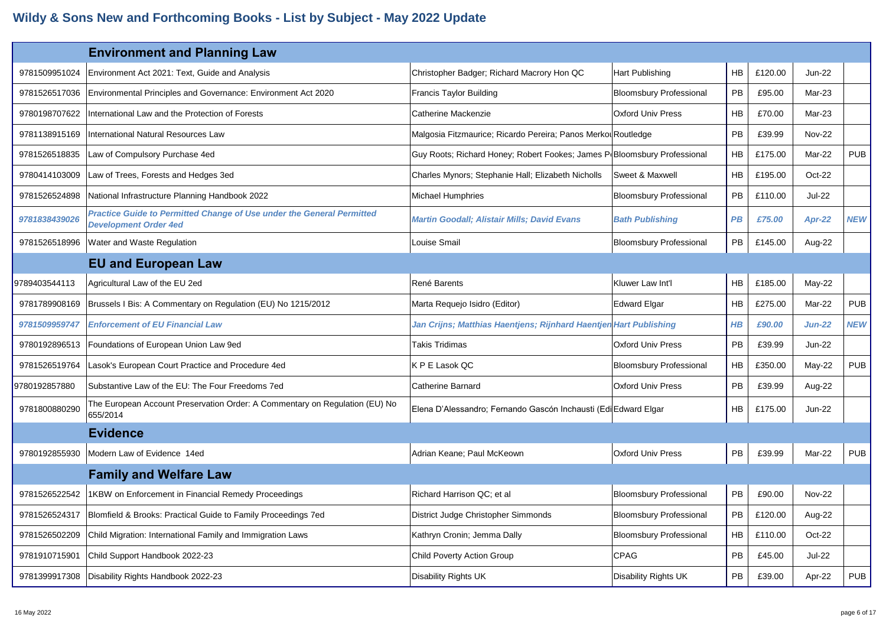|               | <b>Environment and Planning Law</b>                                                                          |                                                                          |                                |           |         |               |            |
|---------------|--------------------------------------------------------------------------------------------------------------|--------------------------------------------------------------------------|--------------------------------|-----------|---------|---------------|------------|
| 9781509951024 | Environment Act 2021: Text, Guide and Analysis                                                               | Christopher Badger; Richard Macrory Hon QC                               | Hart Publishing                | HB        | £120.00 | <b>Jun-22</b> |            |
| 9781526517036 | Environmental Principles and Governance: Environment Act 2020                                                | <b>Francis Taylor Building</b>                                           | <b>Bloomsbury Professional</b> | PB        | £95.00  | Mar-23        |            |
| 9780198707622 | International Law and the Protection of Forests                                                              | Catherine Mackenzie                                                      | <b>Oxford Univ Press</b>       | HB        | £70.00  | Mar-23        |            |
| 9781138915169 | International Natural Resources Law                                                                          | Malgosia Fitzmaurice; Ricardo Pereira; Panos Merko Routledge             |                                | PB        | £39.99  | <b>Nov-22</b> |            |
| 9781526518835 | Law of Compulsory Purchase 4ed                                                                               | Guy Roots; Richard Honey; Robert Fookes; James P(Bloomsbury Professional |                                | HB        | £175.00 | Mar-22        | <b>PUB</b> |
| 9780414103009 | Law of Trees, Forests and Hedges 3ed                                                                         | Charles Mynors; Stephanie Hall; Elizabeth Nicholls                       | Sweet & Maxwell                | HB        | £195.00 | Oct-22        |            |
| 9781526524898 | National Infrastructure Planning Handbook 2022                                                               | <b>Michael Humphries</b>                                                 | <b>Bloomsbury Professional</b> | PB        | £110.00 | <b>Jul-22</b> |            |
| 9781838439026 | <b>Practice Guide to Permitted Change of Use under the General Permitted</b><br><b>Development Order 4ed</b> | Martin Goodall; Alistair Mills; David Evans                              | <b>Bath Publishing</b>         | PB        | £75.00  | Apr-22        | <b>NEW</b> |
| 9781526518996 | Water and Waste Regulation                                                                                   | Louise Smail                                                             | <b>Bloomsbury Professional</b> | PB        | £145.00 | Aug-22        |            |
|               | <b>EU and European Law</b>                                                                                   |                                                                          |                                |           |         |               |            |
| 9789403544113 | Agricultural Law of the EU 2ed                                                                               | René Barents                                                             | Kluwer Law Int'l               | HB        | £185.00 | May-22        |            |
| 9781789908169 | Brussels I Bis: A Commentary on Regulation (EU) No 1215/2012                                                 | Marta Requejo Isidro (Editor)                                            | <b>Edward Elgar</b>            | HB        | £275.00 | Mar-22        | <b>PUB</b> |
| 9781509959747 | <b>Enforcement of EU Financial Law</b>                                                                       | Jan Crijns; Matthias Haentjens; Rijnhard Haentjen Hart Publishing        |                                | $H$ $B$   | £90.00  | $Jun-22$      | <b>NEW</b> |
| 9780192896513 | Foundations of European Union Law 9ed                                                                        | Takis Tridimas                                                           | <b>Oxford Univ Press</b>       | PB        | £39.99  | <b>Jun-22</b> |            |
| 9781526519764 | Lasok's European Court Practice and Procedure 4ed                                                            | K P E Lasok QC                                                           | <b>Bloomsbury Professional</b> | <b>HB</b> | £350.00 | May-22        | <b>PUB</b> |
| 9780192857880 | Substantive Law of the EU: The Four Freedoms 7ed                                                             | <b>Catherine Barnard</b>                                                 | <b>Oxford Univ Press</b>       | <b>PB</b> | £39.99  | Aug-22        |            |
| 9781800880290 | The European Account Preservation Order: A Commentary on Regulation (EU) No<br>655/2014                      | Elena D'Alessandro; Fernando Gascón Inchausti (Edi Edward Elgar          |                                | <b>HB</b> | £175.00 | <b>Jun-22</b> |            |
|               | <b>Evidence</b>                                                                                              |                                                                          |                                |           |         |               |            |
| 9780192855930 | Modern Law of Evidence 14ed                                                                                  | Adrian Keane; Paul McKeown                                               | <b>Oxford Univ Press</b>       | <b>PB</b> | £39.99  | Mar-22        | <b>PUB</b> |
|               | <b>Family and Welfare Law</b>                                                                                |                                                                          |                                |           |         |               |            |
| 9781526522542 | 1KBW on Enforcement in Financial Remedy Proceedings                                                          | Richard Harrison QC; et al                                               | <b>Bloomsbury Professional</b> | PB        | £90.00  | <b>Nov-22</b> |            |
| 9781526524317 | Blomfield & Brooks: Practical Guide to Family Proceedings 7ed                                                | District Judge Christopher Simmonds                                      | <b>Bloomsbury Professional</b> | PB        | £120.00 | Aug-22        |            |
| 9781526502209 | Child Migration: International Family and Immigration Laws                                                   | Kathryn Cronin; Jemma Dally                                              | <b>Bloomsbury Professional</b> | <b>HB</b> | £110.00 | Oct-22        |            |
| 9781910715901 | Child Support Handbook 2022-23                                                                               | <b>Child Poverty Action Group</b>                                        | <b>CPAG</b>                    | PB        | £45.00  | <b>Jul-22</b> |            |
| 9781399917308 | Disability Rights Handbook 2022-23                                                                           | Disability Rights UK                                                     | Disability Rights UK           | PB        | £39.00  | Apr-22        | <b>PUB</b> |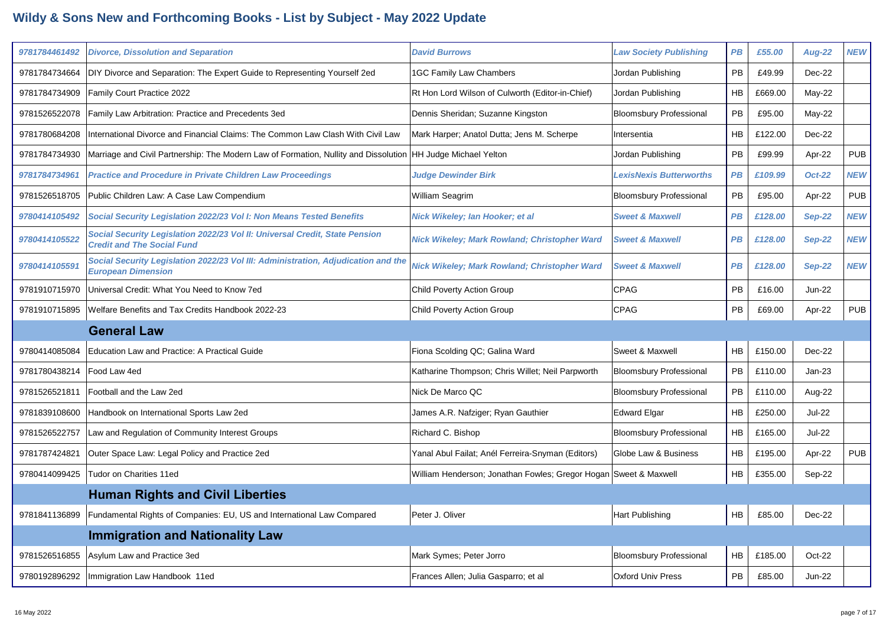| 9781784461492 | <b>Divorce, Dissolution and Separation</b>                                                                       | <b>David Burrows</b>                              | <b>Law Society Publishing</b>  | <b>PB</b>       | £55.00  | <b>Aug-22</b> | <b>NEW</b> |
|---------------|------------------------------------------------------------------------------------------------------------------|---------------------------------------------------|--------------------------------|-----------------|---------|---------------|------------|
| 9781784734664 | DIY Divorce and Separation: The Expert Guide to Representing Yourself 2ed                                        | <b>1GC Family Law Chambers</b>                    | Jordan Publishing              | PB              | £49.99  | Dec-22        |            |
| 9781784734909 | Family Court Practice 2022                                                                                       | Rt Hon Lord Wilson of Culworth (Editor-in-Chief)  | Jordan Publishing              | HB              | £669.00 | May-22        |            |
| 9781526522078 | Family Law Arbitration: Practice and Precedents 3ed                                                              | Dennis Sheridan; Suzanne Kingston                 | <b>Bloomsbury Professional</b> | PB              | £95.00  | $May-22$      |            |
| 9781780684208 | International Divorce and Financial Claims: The Common Law Clash With Civil Law                                  | Mark Harper; Anatol Dutta; Jens M. Scherpe        | Intersentia                    | <b>HB</b>       | £122.00 | Dec-22        |            |
| 9781784734930 | Marriage and Civil Partnership: The Modern Law of Formation, Nullity and Dissolution                             | HH Judge Michael Yelton                           | Jordan Publishing              | PB              | £99.99  | Apr-22        | <b>PUB</b> |
| 9781784734961 | <b>Practice and Procedure in Private Children Law Proceedings</b>                                                | <b>Judge Dewinder Birk</b>                        | <b>LexisNexis Butterworths</b> | PB              | £109.99 | <b>Oct-22</b> | <b>NEW</b> |
| 9781526518705 | Public Children Law: A Case Law Compendium                                                                       | William Seagrim                                   | <b>Bloomsbury Professional</b> | <b>PB</b>       | £95.00  | Apr-22        | <b>PUB</b> |
| 9780414105492 | Social Security Legislation 2022/23 Vol I: Non Means Tested Benefits                                             | Nick Wikeley; lan Hooker; et al                   | <b>Sweet &amp; Maxwell</b>     | <b>PB</b>       | £128.00 | <b>Sep-22</b> | <b>NEW</b> |
| 9780414105522 | Social Security Legislation 2022/23 Vol II: Universal Credit, State Pension<br><b>Credit and The Social Fund</b> | Nick Wikeley; Mark Rowland; Christopher Ward      | <b>Sweet &amp; Maxwell</b>     | <b>PB</b>       | £128.00 | <b>Sep-22</b> | <b>NEW</b> |
| 9780414105591 | Social Security Legislation 2022/23 Vol III: Administration, Adjudication and the<br><b>European Dimension</b>   | Nick Wikeley; Mark Rowland; Christopher Ward      | <b>Sweet &amp; Maxwell</b>     | $\overline{PB}$ | £128.00 | <b>Sep-22</b> | <b>NEW</b> |
| 9781910715970 | Universal Credit: What You Need to Know 7ed                                                                      | Child Poverty Action Group                        | <b>CPAG</b>                    | <b>PB</b>       | £16.00  | $Jun-22$      |            |
| 9781910715895 | Welfare Benefits and Tax Credits Handbook 2022-23                                                                | <b>Child Poverty Action Group</b>                 | <b>CPAG</b>                    | PB              | £69.00  | Apr-22        | <b>PUB</b> |
|               |                                                                                                                  |                                                   |                                |                 |         |               |            |
|               | <b>General Law</b>                                                                                               |                                                   |                                |                 |         |               |            |
| 9780414085084 | Education Law and Practice: A Practical Guide                                                                    | Fiona Scolding QC; Galina Ward                    | Sweet & Maxwell                | HB              | £150.00 | Dec-22        |            |
| 9781780438214 | Food Law 4ed                                                                                                     | Katharine Thompson; Chris Willet; Neil Parpworth  | <b>Bloomsbury Professional</b> | <b>PB</b>       | £110.00 | $Jan-23$      |            |
| 9781526521811 | Football and the Law 2ed                                                                                         | Nick De Marco QC                                  | <b>Bloomsbury Professional</b> | <b>PB</b>       | £110.00 | Aug-22        |            |
| 9781839108600 | Handbook on International Sports Law 2ed                                                                         | James A.R. Nafziger; Ryan Gauthier                | <b>Edward Elgar</b>            | <b>HB</b>       | £250.00 | <b>Jul-22</b> |            |
| 9781526522757 | Law and Regulation of Community Interest Groups                                                                  | Richard C. Bishop                                 | <b>Bloomsbury Professional</b> | <b>HB</b>       | £165.00 | <b>Jul-22</b> |            |
| 9781787424821 | Outer Space Law: Legal Policy and Practice 2ed                                                                   | Yanal Abul Failat; Anél Ferreira-Snyman (Editors) | Globe Law & Business           | HB              | £195.00 | Apr-22        | <b>PUB</b> |
| 9780414099425 | Tudor on Charities 11ed                                                                                          | William Henderson; Jonathan Fowles; Gregor Hogan  | Sweet & Maxwell                | HB              | £355.00 | Sep-22        |            |
|               | <b>Human Rights and Civil Liberties</b>                                                                          |                                                   |                                |                 |         |               |            |
| 9781841136899 | Fundamental Rights of Companies: EU, US and International Law Compared                                           | Peter J. Oliver                                   | <b>Hart Publishing</b>         | HB              | £85.00  | Dec-22        |            |
|               | <b>Immigration and Nationality Law</b>                                                                           |                                                   |                                |                 |         |               |            |
| 9781526516855 | Asylum Law and Practice 3ed                                                                                      | Mark Symes; Peter Jorro                           | <b>Bloomsbury Professional</b> | <b>HB</b>       | £185.00 | Oct-22        |            |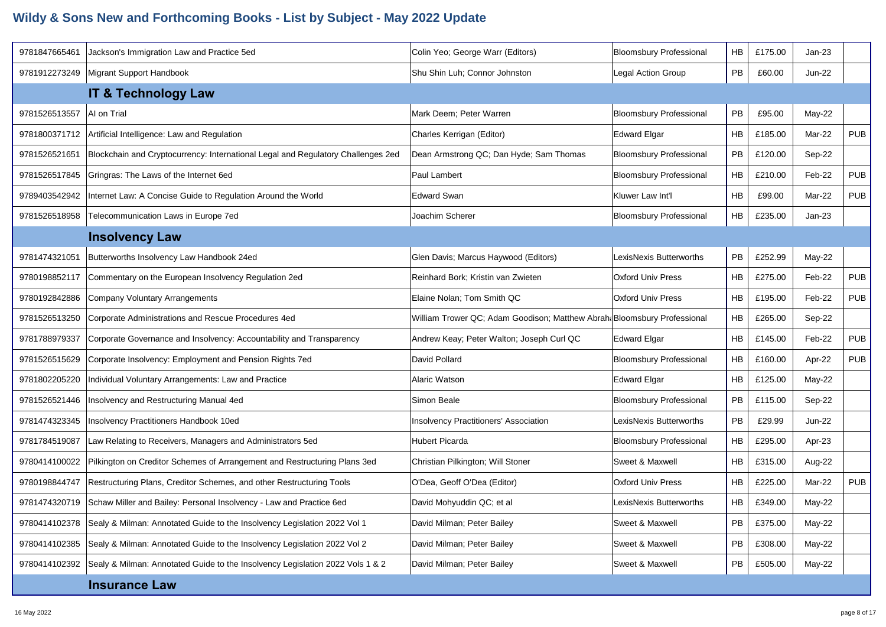| 9781847665461 | Jackson's Immigration Law and Practice 5ed                                       | Colin Yeo; George Warr (Editors)                                        | <b>Bloomsbury Professional</b> | HВ        | £175.00 | Jan-23        |            |
|---------------|----------------------------------------------------------------------------------|-------------------------------------------------------------------------|--------------------------------|-----------|---------|---------------|------------|
| 9781912273249 | Migrant Support Handbook                                                         | Shu Shin Luh; Connor Johnston                                           | <b>Legal Action Group</b>      | PB        | £60.00  | <b>Jun-22</b> |            |
|               | <b>IT &amp; Technology Law</b>                                                   |                                                                         |                                |           |         |               |            |
| 9781526513557 | AI on Trial                                                                      | Mark Deem; Peter Warren                                                 | <b>Bloomsbury Professional</b> | <b>PB</b> | £95.00  | May-22        |            |
| 9781800371712 | Artificial Intelligence: Law and Regulation                                      | Charles Kerrigan (Editor)                                               | <b>Edward Elgar</b>            | HВ        | £185.00 | Mar-22        | <b>PUB</b> |
| 9781526521651 | Blockchain and Cryptocurrency: International Legal and Regulatory Challenges 2ed | Dean Armstrong QC; Dan Hyde; Sam Thomas                                 | <b>Bloomsbury Professional</b> | PB        | £120.00 | Sep-22        |            |
| 9781526517845 | Gringras: The Laws of the Internet 6ed                                           | Paul Lambert                                                            | <b>Bloomsbury Professional</b> | HB        | £210.00 | Feb-22        | <b>PUB</b> |
| 9789403542942 | Internet Law: A Concise Guide to Regulation Around the World                     | <b>Edward Swan</b>                                                      | Kluwer Law Int'l               | НB        | £99.00  | Mar-22        | <b>PUB</b> |
| 9781526518958 | Telecommunication Laws in Europe 7ed                                             | Joachim Scherer                                                         | <b>Bloomsbury Professional</b> | НB        | £235.00 | $Jan-23$      |            |
|               | <b>Insolvency Law</b>                                                            |                                                                         |                                |           |         |               |            |
| 9781474321051 | Butterworths Insolvency Law Handbook 24ed                                        | Glen Davis; Marcus Haywood (Editors)                                    | LexisNexis Butterworths        | PB        | £252.99 | May-22        |            |
| 9780198852117 | Commentary on the European Insolvency Regulation 2ed                             | Reinhard Bork; Kristin van Zwieten                                      | Oxford Univ Press              | НB        | £275.00 | Feb-22        | <b>PUB</b> |
| 9780192842886 | Company Voluntary Arrangements                                                   | Elaine Nolan; Tom Smith QC                                              | Oxford Univ Press              | НB        | £195.00 | Feb-22        | <b>PUB</b> |
| 9781526513250 | Corporate Administrations and Rescue Procedures 4ed                              | William Trower QC; Adam Goodison; Matthew Abrah Bloomsbury Professional |                                | HВ        | £265.00 | Sep-22        |            |
| 9781788979337 | Corporate Governance and Insolvency: Accountability and Transparency             | Andrew Keay; Peter Walton; Joseph Curl QC                               | <b>Edward Elgar</b>            | НB        | £145.00 | Feb-22        | <b>PUB</b> |
| 9781526515629 | Corporate Insolvency: Employment and Pension Rights 7ed                          | David Pollard                                                           | <b>Bloomsbury Professional</b> | HB        | £160.00 | Apr-22        | <b>PUB</b> |
| 9781802205220 | Individual Voluntary Arrangements: Law and Practice                              | Alaric Watson                                                           | <b>Edward Elgar</b>            | НB        | £125.00 | May-22        |            |
| 9781526521446 | Insolvency and Restructuring Manual 4ed                                          | Simon Beale                                                             | <b>Bloomsbury Professional</b> | PB        | £115.00 | Sep-22        |            |
| 9781474323345 | Insolvency Practitioners Handbook 10ed                                           | Insolvency Practitioners' Association                                   | LexisNexis Butterworths        | <b>PB</b> | £29.99  | <b>Jun-22</b> |            |
| 9781784519087 | Law Relating to Receivers, Managers and Administrators 5ed                       | <b>Hubert Picarda</b>                                                   | <b>Bloomsbury Professional</b> | НB        | £295.00 | Apr-23        |            |
| 9780414100022 | Pilkington on Creditor Schemes of Arrangement and Restructuring Plans 3ed        | Christian Pilkington; Will Stoner                                       | Sweet & Maxwell                | HВ        | £315.00 | Aug-22        |            |
| 9780198844747 | Restructuring Plans, Creditor Schemes, and other Restructuring Tools             | O'Dea, Geoff O'Dea (Editor)                                             | Oxford Univ Press              | HB        | £225.00 | Mar-22        | <b>PUB</b> |
| 9781474320719 | Schaw Miller and Bailey: Personal Insolvency - Law and Practice 6ed              | David Mohyuddin QC; et al                                               | LexisNexis Butterworths        | HВ        | £349.00 | May-22        |            |
| 9780414102378 | Sealy & Milman: Annotated Guide to the Insolvency Legislation 2022 Vol 1         | David Milman; Peter Bailey                                              | Sweet & Maxwell                | PB        | £375.00 | $May-22$      |            |
| 9780414102385 | Sealy & Milman: Annotated Guide to the Insolvency Legislation 2022 Vol 2         | David Milman; Peter Bailey                                              | Sweet & Maxwell                | <b>PB</b> | £308.00 | May-22        |            |
| 9780414102392 | Sealy & Milman: Annotated Guide to the Insolvency Legislation 2022 Vols 1 & 2    | David Milman; Peter Bailey                                              | Sweet & Maxwell                | PB        | £505.00 | May-22        |            |
|               | <b>Insurance Law</b>                                                             |                                                                         |                                |           |         |               |            |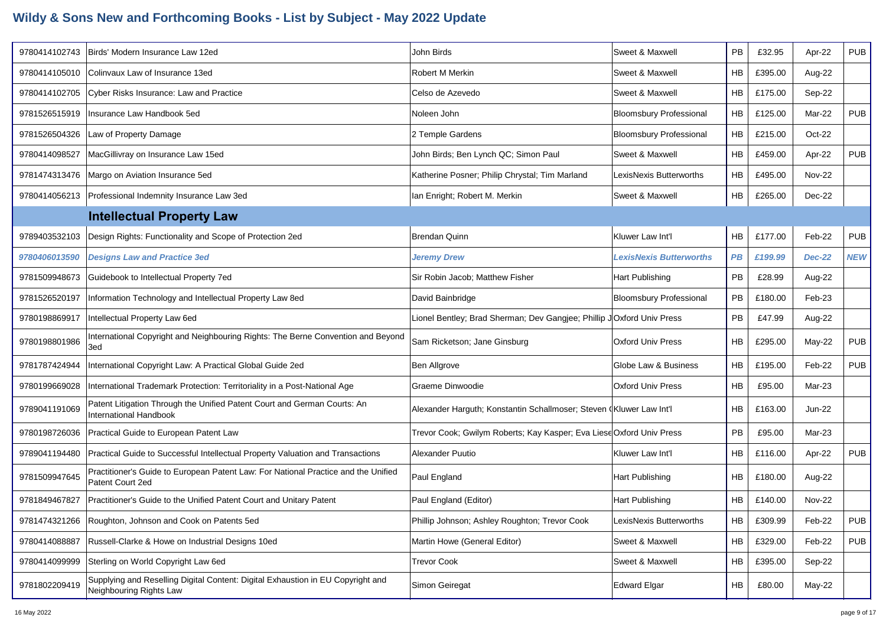| 9780414102743 | Birds' Modern Insurance Law 12ed                                                                           | John Birds                                                            | Sweet & Maxwell                | PB        | £32.95  | Apr-22        | <b>PUB</b> |
|---------------|------------------------------------------------------------------------------------------------------------|-----------------------------------------------------------------------|--------------------------------|-----------|---------|---------------|------------|
| 9780414105010 | Colinvaux Law of Insurance 13ed                                                                            | Robert M Merkin                                                       | Sweet & Maxwell                | HB        | £395.00 | Aug-22        |            |
| 9780414102705 | Cyber Risks Insurance: Law and Practice                                                                    | Celso de Azevedo                                                      | Sweet & Maxwell                | HB        | £175.00 | Sep-22        |            |
| 9781526515919 | Insurance Law Handbook 5ed                                                                                 | Noleen John                                                           | <b>Bloomsbury Professional</b> | HB        | £125.00 | Mar-22        | <b>PUB</b> |
| 9781526504326 | Law of Property Damage                                                                                     | 2 Temple Gardens                                                      | <b>Bloomsbury Professional</b> | <b>HB</b> | £215.00 | Oct-22        |            |
| 9780414098527 | MacGillivray on Insurance Law 15ed                                                                         | John Birds; Ben Lynch QC; Simon Paul                                  | Sweet & Maxwell                | HB        | £459.00 | Apr-22        | <b>PUB</b> |
| 9781474313476 | Margo on Aviation Insurance 5ed                                                                            | Katherine Posner; Philip Chrystal; Tim Marland                        | LexisNexis Butterworths        | <b>HB</b> | £495.00 | <b>Nov-22</b> |            |
| 9780414056213 | Professional Indemnity Insurance Law 3ed                                                                   | Ian Enright; Robert M. Merkin                                         | Sweet & Maxwell                | HB        | £265.00 | Dec-22        |            |
|               | <b>Intellectual Property Law</b>                                                                           |                                                                       |                                |           |         |               |            |
| 9789403532103 | Design Rights: Functionality and Scope of Protection 2ed                                                   | <b>Brendan Quinn</b>                                                  | Kluwer Law Int'l               | HB        | £177.00 | Feb-22        | <b>PUB</b> |
| 9780406013590 | <b>Designs Law and Practice 3ed</b>                                                                        | <b>Jeremy Drew</b>                                                    | <b>LexisNexis Butterworths</b> | PB        | £199.99 | <b>Dec-22</b> | <b>NEW</b> |
| 9781509948673 | Guidebook to Intellectual Property 7ed                                                                     | Sir Robin Jacob; Matthew Fisher                                       | Hart Publishing                | PB        | £28.99  | Aug-22        |            |
| 9781526520197 | Information Technology and Intellectual Property Law 8ed                                                   | David Bainbridge                                                      | <b>Bloomsbury Professional</b> | PB        | £180.00 | Feb-23        |            |
| 9780198869917 | Intellectual Property Law 6ed                                                                              | Lionel Bentley; Brad Sherman; Dev Gangjee; Phillip JOxford Univ Press |                                | PB        | £47.99  | Aug-22        |            |
| 9780198801986 | International Copyright and Neighbouring Rights: The Berne Convention and Beyond<br>3ed                    | Sam Ricketson; Jane Ginsburg                                          | <b>Oxford Univ Press</b>       | <b>HB</b> | £295.00 | May-22        | <b>PUB</b> |
| 9781787424944 | International Copyright Law: A Practical Global Guide 2ed                                                  | Ben Allgrove                                                          | Globe Law & Business           | HB        | £195.00 | Feb-22        | <b>PUB</b> |
| 9780199669028 | International Trademark Protection: Territoriality in a Post-National Age                                  | Graeme Dinwoodie                                                      | <b>Oxford Univ Press</b>       | HB        | £95.00  | Mar-23        |            |
| 9789041191069 | Patent Litigation Through the Unified Patent Court and German Courts: An<br><b>International Handbook</b>  | Alexander Harguth; Konstantin Schallmoser; Steven (Kluwer Law Int'l   |                                | <b>HB</b> | £163.00 | Jun-22        |            |
| 9780198726036 | Practical Guide to European Patent Law                                                                     | Trevor Cook; Gwilym Roberts; Kay Kasper; Eva Liese Oxford Univ Press  |                                | <b>PB</b> | £95.00  | Mar-23        |            |
| 9789041194480 | Practical Guide to Successful Intellectual Property Valuation and Transactions                             | Alexander Puutio                                                      | Kluwer Law Int'l               | <b>HB</b> | £116.00 | Apr-22        | <b>PUB</b> |
| 9781509947645 | Practitioner's Guide to European Patent Law: For National Practice and the Unified<br>Patent Court 2ed     | Paul England                                                          | Hart Publishing                | HB        | £180.00 | Aug-22        |            |
| 9781849467827 | Practitioner's Guide to the Unified Patent Court and Unitary Patent                                        | Paul England (Editor)                                                 | Hart Publishing                | <b>HB</b> | £140.00 | <b>Nov-22</b> |            |
|               | 9781474321266 Roughton, Johnson and Cook on Patents 5ed                                                    | Phillip Johnson; Ashley Roughton; Trevor Cook                         | LexisNexis Butterworths        | HB        | £309.99 | Feb-22        | <b>PUB</b> |
| 9780414088887 | Russell-Clarke & Howe on Industrial Designs 10ed                                                           | Martin Howe (General Editor)                                          | Sweet & Maxwell                | HB        | £329.00 | Feb-22        | <b>PUB</b> |
| 9780414099999 | Sterling on World Copyright Law 6ed                                                                        | <b>Trevor Cook</b>                                                    | Sweet & Maxwell                | HB        | £395.00 | Sep-22        |            |
| 9781802209419 | Supplying and Reselling Digital Content: Digital Exhaustion in EU Copyright and<br>Neighbouring Rights Law | Simon Geiregat                                                        | <b>Edward Elgar</b>            | HB        | £80.00  | May-22        |            |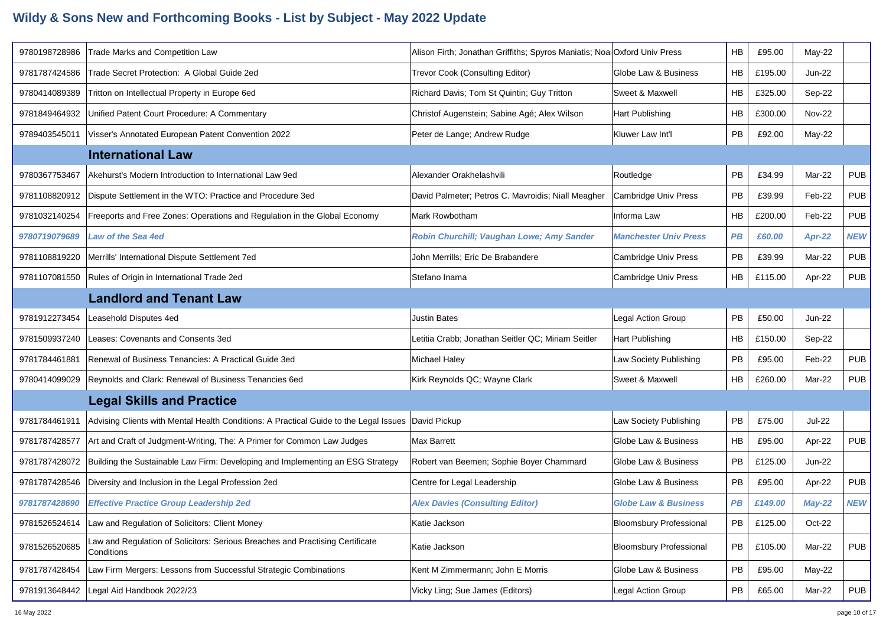| 9780198728986 | <b>Trade Marks and Competition Law</b>                                                      | Alison Firth; Jonathan Griffiths; Spyros Maniatis; Noal Oxford Univ Press |                                 | <b>HB</b> | £95.00  | $May-22$      |            |
|---------------|---------------------------------------------------------------------------------------------|---------------------------------------------------------------------------|---------------------------------|-----------|---------|---------------|------------|
| 9781787424586 | Trade Secret Protection: A Global Guide 2ed                                                 | Trevor Cook (Consulting Editor)                                           | Globe Law & Business            | <b>HB</b> | £195.00 | <b>Jun-22</b> |            |
| 9780414089389 | Tritton on Intellectual Property in Europe 6ed                                              | Richard Davis; Tom St Quintin; Guy Tritton                                | Sweet & Maxwell                 | HB        | £325.00 | Sep-22        |            |
| 9781849464932 | Unified Patent Court Procedure: A Commentary                                                | Christof Augenstein; Sabine Agé; Alex Wilson                              | Hart Publishing                 | HB        | £300.00 | <b>Nov-22</b> |            |
| 9789403545011 | Visser's Annotated European Patent Convention 2022                                          | Peter de Lange; Andrew Rudge                                              | Kluwer Law Int'l                | PB        | £92.00  | May-22        |            |
|               | <b>International Law</b>                                                                    |                                                                           |                                 |           |         |               |            |
| 9780367753467 | Akehurst's Modern Introduction to International Law 9ed                                     | Alexander Orakhelashvili                                                  | Routledge                       | PB        | £34.99  | Mar-22        | <b>PUB</b> |
| 9781108820912 | Dispute Settlement in the WTO: Practice and Procedure 3ed                                   | David Palmeter; Petros C. Mavroidis; Niall Meagher                        | <b>Cambridge Univ Press</b>     | PB        | £39.99  | Feb-22        | <b>PUB</b> |
| 9781032140254 | Freeports and Free Zones: Operations and Regulation in the Global Economy                   | Mark Rowbotham                                                            | Informa Law                     | <b>HB</b> | £200.00 | Feb-22        | <b>PUB</b> |
| 9780719079689 | <b>Law of the Sea 4ed</b>                                                                   | Robin Churchill; Vaughan Lowe; Amy Sander                                 | <b>Manchester Univ Press</b>    | PB        | £60.00  | Apr-22        | <b>NEW</b> |
| 9781108819220 | Merrills' International Dispute Settlement 7ed                                              | John Merrills; Eric De Brabandere                                         | Cambridge Univ Press            | <b>PB</b> | £39.99  | Mar-22        | <b>PUB</b> |
| 9781107081550 | Rules of Origin in International Trade 2ed                                                  | Stefano Inama                                                             | Cambridge Univ Press            | HB        | £115.00 | Apr-22        | <b>PUB</b> |
|               | <b>Landlord and Tenant Law</b>                                                              |                                                                           |                                 |           |         |               |            |
| 9781912273454 | Leasehold Disputes 4ed                                                                      | <b>Justin Bates</b>                                                       | Legal Action Group              | PB        | £50.00  | $Jun-22$      |            |
| 9781509937240 | Leases: Covenants and Consents 3ed                                                          | Letitia Crabb; Jonathan Seitler QC; Miriam Seitler                        | Hart Publishing                 | HB        | £150.00 | Sep-22        |            |
| 9781784461881 | Renewal of Business Tenancies: A Practical Guide 3ed                                        | Michael Haley                                                             | Law Society Publishing          | PB        | £95.00  | Feb-22        | <b>PUB</b> |
| 9780414099029 | Reynolds and Clark: Renewal of Business Tenancies 6ed                                       | Kirk Reynolds QC; Wayne Clark                                             | Sweet & Maxwell                 | <b>HB</b> | £260.00 | Mar-22        | <b>PUB</b> |
|               | <b>Legal Skills and Practice</b>                                                            |                                                                           |                                 |           |         |               |            |
| 9781784461911 | Advising Clients with Mental Health Conditions: A Practical Guide to the Legal Issues       | David Pickup                                                              | Law Society Publishing          | PB        | £75.00  | <b>Jul-22</b> |            |
| 9781787428577 | Art and Craft of Judgment-Writing, The: A Primer for Common Law Judges                      | <b>Max Barrett</b>                                                        | Globe Law & Business            | <b>HB</b> | £95.00  | Apr-22        | <b>PUB</b> |
| 9781787428072 | Building the Sustainable Law Firm: Developing and Implementing an ESG Strategy              | Robert van Beemen; Sophie Boyer Chammard                                  | Globe Law & Business            | PB        | £125.00 | <b>Jun-22</b> |            |
| 9781787428546 | Diversity and Inclusion in the Legal Profession 2ed                                         | Centre for Legal Leadership                                               | Globe Law & Business            | PB        | £95.00  | Apr-22        | <b>PUB</b> |
| 9781787428690 | <b>Effective Practice Group Leadership 2ed</b>                                              | <b>Alex Davies (Consulting Editor)</b>                                    | <b>Globe Law &amp; Business</b> | PB.       | £149.00 | $May-22$      | <b>NEW</b> |
| 9781526524614 | Law and Regulation of Solicitors: Client Money                                              | Katie Jackson                                                             | <b>Bloomsbury Professional</b>  | PB        | £125.00 | Oct-22        |            |
| 9781526520685 | Law and Regulation of Solicitors: Serious Breaches and Practising Certificate<br>Conditions | Katie Jackson                                                             | <b>Bloomsbury Professional</b>  | PB        | £105.00 | Mar-22        | <b>PUB</b> |
| 9781787428454 | Law Firm Mergers: Lessons from Successful Strategic Combinations                            | Kent M Zimmermann; John E Morris                                          | Globe Law & Business            | PB        | £95.00  | May-22        |            |
| 9781913648442 | Legal Aid Handbook 2022/23                                                                  | Vicky Ling; Sue James (Editors)                                           | Legal Action Group              | PB        | £65.00  | Mar-22        | <b>PUB</b> |
|               |                                                                                             |                                                                           |                                 |           |         |               |            |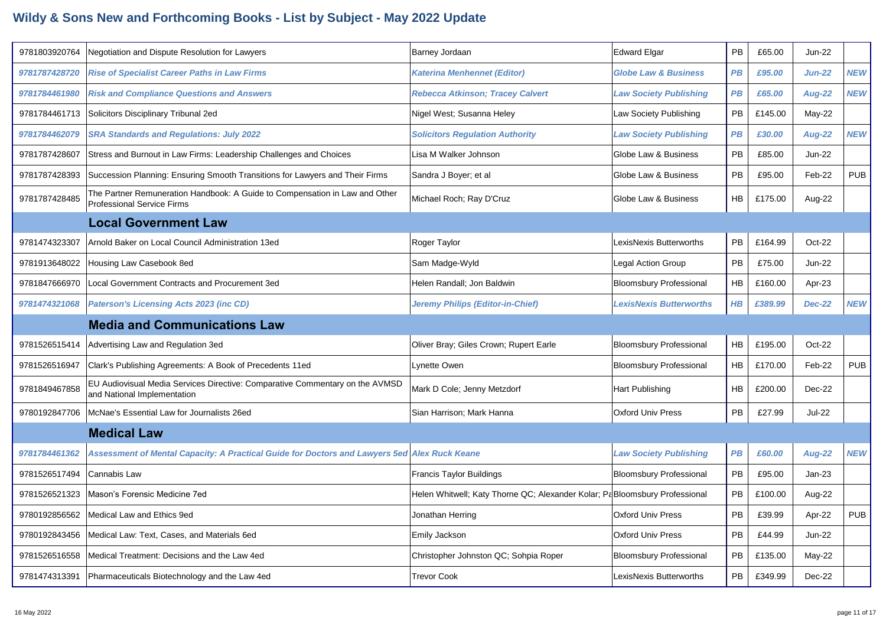| 9781803920764 | Negotiation and Dispute Resolution for Lawyers                                                                   | Barney Jordaan                                                             | <b>Edward Elgar</b>             | <b>PB</b> | £65.00  | <b>Jun-22</b> |            |
|---------------|------------------------------------------------------------------------------------------------------------------|----------------------------------------------------------------------------|---------------------------------|-----------|---------|---------------|------------|
| 9781787428720 | <b>Rise of Specialist Career Paths in Law Firms</b>                                                              | <b>Katerina Menhennet (Editor)</b>                                         | <b>Globe Law &amp; Business</b> | PB        | £95.00  | <b>Jun-22</b> | <b>NEW</b> |
| 9781784461980 | <b>Risk and Compliance Questions and Answers</b>                                                                 | Rebecca Atkinson; Tracey Calvert                                           | <b>Law Society Publishing</b>   | PB        | £65.00  | <b>Aug-22</b> | <b>NEW</b> |
| 9781784461713 | Solicitors Disciplinary Tribunal 2ed                                                                             | Nigel West; Susanna Heley                                                  | Law Society Publishing          | <b>PB</b> | £145.00 | $May-22$      |            |
| 9781784462079 | <b>SRA Standards and Regulations: July 2022</b>                                                                  | <b>Solicitors Regulation Authority</b>                                     | <b>Law Society Publishing</b>   | PB        | £30.00  | <b>Aug-22</b> | <b>NEW</b> |
| 9781787428607 | Stress and Burnout in Law Firms: Leadership Challenges and Choices                                               | Lisa M Walker Johnson                                                      | Globe Law & Business            | <b>PB</b> | £85.00  | <b>Jun-22</b> |            |
| 9781787428393 | Succession Planning: Ensuring Smooth Transitions for Lawyers and Their Firms                                     | Sandra J Boyer; et al                                                      | Globe Law & Business            | PB        | £95.00  | Feb-22        | <b>PUB</b> |
| 9781787428485 | The Partner Remuneration Handbook: A Guide to Compensation in Law and Other<br><b>Professional Service Firms</b> | Michael Roch; Ray D'Cruz                                                   | Globe Law & Business            | <b>HB</b> | £175.00 | Aug-22        |            |
|               | <b>Local Government Law</b>                                                                                      |                                                                            |                                 |           |         |               |            |
| 9781474323307 | Arnold Baker on Local Council Administration 13ed                                                                | Roger Taylor                                                               | LexisNexis Butterworths         | <b>PB</b> | £164.99 | Oct-22        |            |
| 9781913648022 | Housing Law Casebook 8ed                                                                                         | Sam Madge-Wyld                                                             | Legal Action Group              | PB        | £75.00  | <b>Jun-22</b> |            |
| 9781847666970 | Local Government Contracts and Procurement 3ed                                                                   | Helen Randall; Jon Baldwin                                                 | <b>Bloomsbury Professional</b>  | HB        | £160.00 | Apr-23        |            |
| 9781474321068 | <b>Paterson's Licensing Acts 2023 (inc CD)</b>                                                                   | Jeremy Philips (Editor-in-Chief)                                           | <b>LexisNexis Butterworths</b>  | $H$ $B$   | £389.99 | <b>Dec-22</b> | <b>NEW</b> |
|               |                                                                                                                  |                                                                            |                                 |           |         |               |            |
|               | <b>Media and Communications Law</b>                                                                              |                                                                            |                                 |           |         |               |            |
| 9781526515414 | Advertising Law and Regulation 3ed                                                                               | Oliver Bray; Giles Crown; Rupert Earle                                     | <b>Bloomsbury Professional</b>  | HB        | £195.00 | Oct-22        |            |
| 9781526516947 | Clark's Publishing Agreements: A Book of Precedents 11ed                                                         | Lynette Owen                                                               | <b>Bloomsbury Professional</b>  | HB        | £170.00 | Feb-22        | <b>PUB</b> |
| 9781849467858 | EU Audiovisual Media Services Directive: Comparative Commentary on the AVMSD<br>and National Implementation      | Mark D Cole; Jenny Metzdorf                                                | Hart Publishing                 | HB        | £200.00 | Dec-22        |            |
| 9780192847706 | McNae's Essential Law for Journalists 26ed                                                                       | Sian Harrison; Mark Hanna                                                  | <b>Oxford Univ Press</b>        | PB        | £27.99  | <b>Jul-22</b> |            |
|               | <b>Medical Law</b>                                                                                               |                                                                            |                                 |           |         |               |            |
| 9781784461362 | Assessment of Mental Capacity: A Practical Guide for Doctors and Lawyers 5ed Alex Ruck Keane                     |                                                                            | <b>Law Society Publishing</b>   | PB        | £60.00  | <b>Aug-22</b> | <b>NEW</b> |
| 9781526517494 | Cannabis Law                                                                                                     | Francis Taylor Buildings                                                   | <b>Bloomsbury Professional</b>  | PB        | £95.00  | $Jan-23$      |            |
| 9781526521323 | Mason's Forensic Medicine 7ed                                                                                    | Helen Whitwell; Katy Thorne QC; Alexander Kolar; PaBloomsbury Professional |                                 | PB        | £100.00 | Aug-22        |            |
| 9780192856562 | Medical Law and Ethics 9ed                                                                                       | Jonathan Herring                                                           | <b>Oxford Univ Press</b>        | PB        | £39.99  | Apr-22        | <b>PUB</b> |
| 9780192843456 | Medical Law: Text, Cases, and Materials 6ed                                                                      | Emily Jackson                                                              | <b>Oxford Univ Press</b>        | PB        | £44.99  | $Jun-22$      |            |
| 9781526516558 | Medical Treatment: Decisions and the Law 4ed                                                                     | Christopher Johnston QC; Sohpia Roper                                      | <b>Bloomsbury Professional</b>  | PB        | £135.00 | May-22        |            |
| 9781474313391 | Pharmaceuticals Biotechnology and the Law 4ed                                                                    | <b>Trevor Cook</b>                                                         | LexisNexis Butterworths         | <b>PB</b> | £349.99 | Dec-22        |            |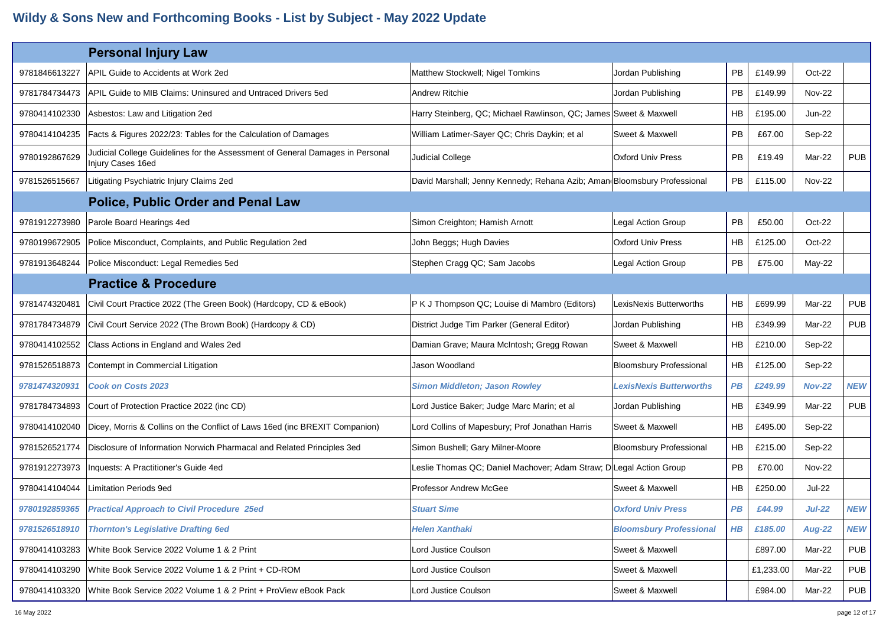|               | <b>Personal Injury Law</b>                                                                         |                                                                          |                                |           |           |               |            |
|---------------|----------------------------------------------------------------------------------------------------|--------------------------------------------------------------------------|--------------------------------|-----------|-----------|---------------|------------|
| 9781846613227 | APIL Guide to Accidents at Work 2ed                                                                | Matthew Stockwell; Nigel Tomkins                                         | Jordan Publishing              | PB        | £149.99   | Oct-22        |            |
| 9781784734473 | APIL Guide to MIB Claims: Uninsured and Untraced Drivers 5ed                                       | Andrew Ritchie                                                           | Jordan Publishing              | <b>PB</b> | £149.99   | <b>Nov-22</b> |            |
| 9780414102330 | Asbestos: Law and Litigation 2ed                                                                   | Harry Steinberg, QC; Michael Rawlinson, QC; James Sweet & Maxwell        |                                | <b>HB</b> | £195.00   | <b>Jun-22</b> |            |
| 9780414104235 | Facts & Figures 2022/23: Tables for the Calculation of Damages                                     | William Latimer-Sayer QC; Chris Daykin; et al                            | Sweet & Maxwell                | PB        | £67.00    | Sep-22        |            |
| 9780192867629 | Judicial College Guidelines for the Assessment of General Damages in Personal<br>Injury Cases 16ed | Judicial College                                                         | <b>Oxford Univ Press</b>       | <b>PB</b> | £19.49    | Mar-22        | <b>PUB</b> |
| 9781526515667 | Litigating Psychiatric Injury Claims 2ed                                                           | David Marshall; Jenny Kennedy; Rehana Azib; Aman Bloomsbury Professional |                                | <b>PB</b> | £115.00   | <b>Nov-22</b> |            |
|               | <b>Police, Public Order and Penal Law</b>                                                          |                                                                          |                                |           |           |               |            |
| 9781912273980 | Parole Board Hearings 4ed                                                                          | Simon Creighton; Hamish Arnott                                           | Legal Action Group             | <b>PB</b> | £50.00    | Oct-22        |            |
| 9780199672905 | Police Misconduct, Complaints, and Public Regulation 2ed                                           | John Beggs; Hugh Davies                                                  | <b>Oxford Univ Press</b>       | <b>HB</b> | £125.00   | $Oct-22$      |            |
| 9781913648244 | Police Misconduct: Legal Remedies 5ed                                                              | Stephen Cragg QC; Sam Jacobs                                             | <b>Legal Action Group</b>      | <b>PB</b> | £75.00    | $May-22$      |            |
|               | <b>Practice &amp; Procedure</b>                                                                    |                                                                          |                                |           |           |               |            |
| 9781474320481 | Civil Court Practice 2022 (The Green Book) (Hardcopy, CD & eBook)                                  | P K J Thompson QC; Louise di Mambro (Editors)                            | LexisNexis Butterworths        | HB        | £699.99   | Mar-22        | <b>PUB</b> |
| 9781784734879 | Civil Court Service 2022 (The Brown Book) (Hardcopy & CD)                                          | District Judge Tim Parker (General Editor)                               | Jordan Publishing              | <b>HB</b> | £349.99   | Mar-22        | <b>PUB</b> |
| 9780414102552 | Class Actions in England and Wales 2ed                                                             | Damian Grave; Maura McIntosh; Gregg Rowan                                | Sweet & Maxwell                | HB        | £210.00   | Sep-22        |            |
| 9781526518873 | Contempt in Commercial Litigation                                                                  | Jason Woodland                                                           | <b>Bloomsbury Professional</b> | HB        | £125.00   | Sep-22        |            |
| 9781474320931 | <b>Cook on Costs 2023</b>                                                                          | <b>Simon Middleton; Jason Rowley</b>                                     | <b>LexisNexis Butterworths</b> | PB        | £249.99   | <b>Nov-22</b> | <b>NEW</b> |
| 9781784734893 | Court of Protection Practice 2022 (inc CD)                                                         | Lord Justice Baker; Judge Marc Marin; et al                              | Jordan Publishing              | HB        | £349.99   | Mar-22        | <b>PUB</b> |
| 9780414102040 | Dicey, Morris & Collins on the Conflict of Laws 16ed (inc BREXIT Companion)                        | Lord Collins of Mapesbury; Prof Jonathan Harris                          | Sweet & Maxwell                | <b>HB</b> | £495.00   | Sep-22        |            |
| 9781526521774 | Disclosure of Information Norwich Pharmacal and Related Principles 3ed                             | Simon Bushell; Gary Milner-Moore                                         | <b>Bloomsbury Professional</b> | HB        | £215.00   | Sep-22        |            |
| 9781912273973 | Inquests: A Practitioner's Guide 4ed                                                               | Leslie Thomas QC; Daniel Machover; Adam Straw; D Legal Action Group      |                                | PB        | £70.00    | <b>Nov-22</b> |            |
| 9780414104044 | Limitation Periods 9ed                                                                             | <b>Professor Andrew McGee</b>                                            | Sweet & Maxwell                | <b>HB</b> | £250.00   | <b>Jul-22</b> |            |
| 9780192859365 | <b>Practical Approach to Civil Procedure 25ed</b>                                                  | <b>Stuart Sime</b>                                                       | <b>Oxford Univ Press</b>       | <b>PB</b> | £44.99    | <b>Jul-22</b> | <b>NEW</b> |
| 9781526518910 | <b>Thornton's Legislative Drafting 6ed</b>                                                         | <b>Helen Xanthaki</b>                                                    | <b>Bloomsbury Professional</b> | $H$ $B$   | £185.00   | <b>Aug-22</b> | <b>NEW</b> |
| 9780414103283 | White Book Service 2022 Volume 1 & 2 Print                                                         | Lord Justice Coulson                                                     | Sweet & Maxwell                |           | £897.00   | Mar-22        | <b>PUB</b> |
| 9780414103290 | White Book Service 2022 Volume 1 & 2 Print + CD-ROM                                                | Lord Justice Coulson                                                     | Sweet & Maxwell                |           | £1,233.00 | Mar-22        | <b>PUB</b> |
| 9780414103320 | White Book Service 2022 Volume 1 & 2 Print + ProView eBook Pack                                    | Lord Justice Coulson                                                     | Sweet & Maxwell                |           | £984.00   | Mar-22        | <b>PUB</b> |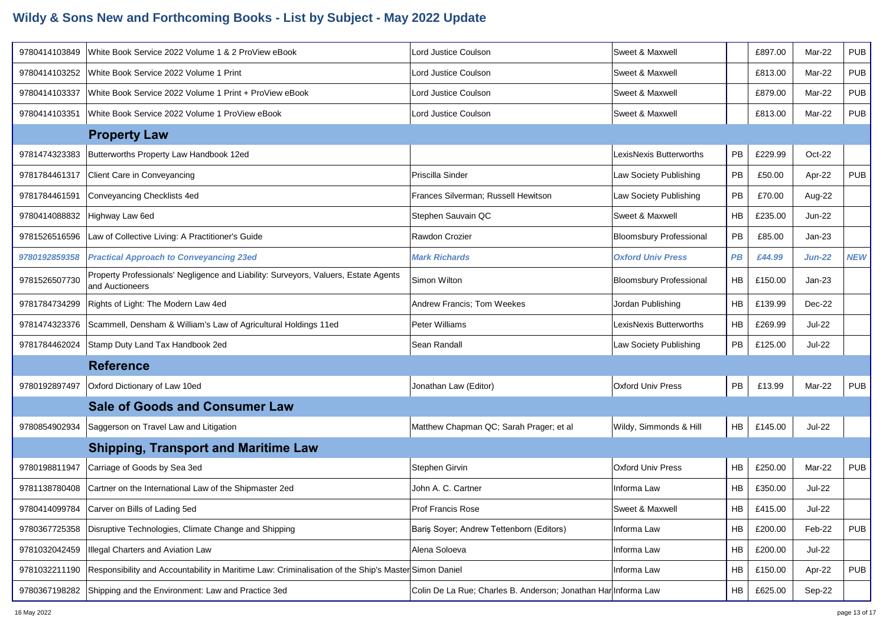| 9780414103849 | White Book Service 2022 Volume 1 & 2 ProView eBook                                                     | Lord Justice Coulson                                           | Sweet & Maxwell                |           | £897.00 | Mar-22        | <b>PUB</b> |
|---------------|--------------------------------------------------------------------------------------------------------|----------------------------------------------------------------|--------------------------------|-----------|---------|---------------|------------|
|               |                                                                                                        |                                                                |                                |           |         |               |            |
| 9780414103252 | White Book Service 2022 Volume 1 Print                                                                 | Lord Justice Coulson                                           | Sweet & Maxwell                |           | £813.00 | Mar-22        | <b>PUB</b> |
| 9780414103337 | White Book Service 2022 Volume 1 Print + ProView eBook                                                 | Lord Justice Coulson                                           | Sweet & Maxwell                |           | £879.00 | Mar-22        | <b>PUB</b> |
| 9780414103351 | White Book Service 2022 Volume 1 ProView eBook                                                         | Lord Justice Coulson                                           | Sweet & Maxwell                |           | £813.00 | Mar-22        | <b>PUB</b> |
|               | <b>Property Law</b>                                                                                    |                                                                |                                |           |         |               |            |
| 9781474323383 | Butterworths Property Law Handbook 12ed                                                                |                                                                | LexisNexis Butterworths        | <b>PB</b> | £229.99 | Oct-22        |            |
| 9781784461317 | Client Care in Conveyancing                                                                            | Priscilla Sinder                                               | Law Society Publishing         | PB        | £50.00  | Apr-22        | <b>PUB</b> |
| 9781784461591 | Conveyancing Checklists 4ed                                                                            | Frances Silverman; Russell Hewitson                            | Law Society Publishing         | <b>PB</b> | £70.00  | Aug-22        |            |
| 9780414088832 | Highway Law 6ed                                                                                        | Stephen Sauvain QC                                             | Sweet & Maxwell                | <b>HB</b> | £235.00 | <b>Jun-22</b> |            |
| 9781526516596 | Law of Collective Living: A Practitioner's Guide                                                       | Rawdon Crozier                                                 | <b>Bloomsbury Professional</b> | <b>PB</b> | £85.00  | $Jan-23$      |            |
| 9780192859358 | <b>Practical Approach to Conveyancing 23ed</b>                                                         | <b>Mark Richards</b>                                           | <b>Oxford Univ Press</b>       | <b>PB</b> | £44.99  | $Jun-22$      | <b>NEW</b> |
| 9781526507730 | Property Professionals' Negligence and Liability: Surveyors, Valuers, Estate Agents<br>and Auctioneers | Simon Wilton                                                   | <b>Bloomsbury Professional</b> | HB        | £150.00 | $Jan-23$      |            |
| 9781784734299 | Rights of Light: The Modern Law 4ed                                                                    | Andrew Francis; Tom Weekes                                     | Jordan Publishing              | <b>HB</b> | £139.99 | Dec-22        |            |
| 9781474323376 | Scammell, Densham & William's Law of Agricultural Holdings 11ed                                        | Peter Williams                                                 | LexisNexis Butterworths        | <b>HB</b> | £269.99 | Jul-22        |            |
| 9781784462024 | Stamp Duty Land Tax Handbook 2ed                                                                       | Sean Randall                                                   | Law Society Publishing         | <b>PB</b> | £125.00 | Jul-22        |            |
|               | <b>Reference</b>                                                                                       |                                                                |                                |           |         |               |            |
| 9780192897497 | Oxford Dictionary of Law 10ed                                                                          | Jonathan Law (Editor)                                          | <b>Oxford Univ Press</b>       | PB        | £13.99  | Mar-22        | <b>PUB</b> |
|               | <b>Sale of Goods and Consumer Law</b>                                                                  |                                                                |                                |           |         |               |            |
| 9780854902934 | Saggerson on Travel Law and Litigation                                                                 | Matthew Chapman QC; Sarah Prager; et al                        | Wildy, Simmonds & Hill         | HB        | £145.00 | <b>Jul-22</b> |            |
|               | <b>Shipping, Transport and Maritime Law</b>                                                            |                                                                |                                |           |         |               |            |
| 9780198811947 | Carriage of Goods by Sea 3ed                                                                           | Stephen Girvin                                                 | <b>Oxford Univ Press</b>       | <b>HB</b> | £250.00 | Mar-22        | <b>PUB</b> |
|               | 9781138780408 Cartner on the International Law of the Shipmaster 2ed                                   | John A. C. Cartner                                             | Informa Law                    | <b>HB</b> | £350.00 | Jul-22        |            |
|               | 9780414099784 Carver on Bills of Lading 5ed                                                            | <b>Prof Francis Rose</b>                                       | Sweet & Maxwell                | HB        | £415.00 | <b>Jul-22</b> |            |
| 9780367725358 | Disruptive Technologies, Climate Change and Shipping                                                   | Baris Soyer; Andrew Tettenborn (Editors)                       | Informa Law                    | HB        | £200.00 | Feb-22        | <b>PUB</b> |
| 9781032042459 | Illegal Charters and Aviation Law                                                                      | Alena Soloeva                                                  | Informa Law                    | HB        | £200.00 | <b>Jul-22</b> |            |
| 9781032211190 | Responsibility and Accountability in Maritime Law: Criminalisation of the Ship's Master Simon Daniel   |                                                                | Informa Law                    | HB        | £150.00 | Apr-22        | <b>PUB</b> |
| 9780367198282 | Shipping and the Environment: Law and Practice 3ed                                                     | Colin De La Rue; Charles B. Anderson; Jonathan Har Informa Law |                                | HB        | £625.00 | Sep-22        |            |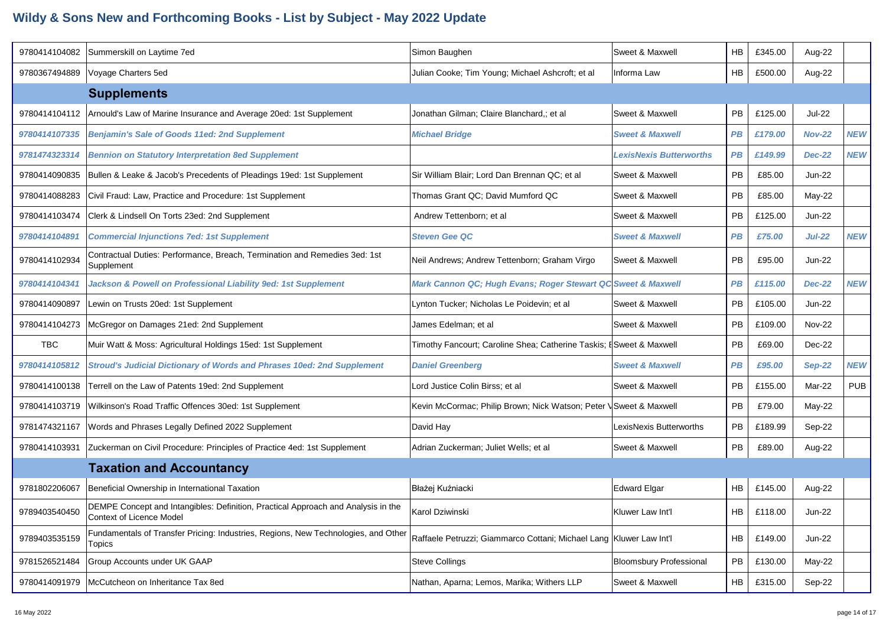| 9780414104082 | Summerskill on Laytime 7ed                                                                                    | Simon Baughen                                                        | Sweet & Maxwell                | <b>HB</b> | £345.00 | Aug-22        |            |
|---------------|---------------------------------------------------------------------------------------------------------------|----------------------------------------------------------------------|--------------------------------|-----------|---------|---------------|------------|
| 9780367494889 | Voyage Charters 5ed                                                                                           | Julian Cooke; Tim Young; Michael Ashcroft; et al                     | Informa Law                    | <b>HB</b> | £500.00 | Aug-22        |            |
|               | <b>Supplements</b>                                                                                            |                                                                      |                                |           |         |               |            |
| 9780414104112 | Arnould's Law of Marine Insurance and Average 20ed: 1st Supplement                                            | Jonathan Gilman; Claire Blanchard,; et al                            | Sweet & Maxwell                | PB        | £125.00 | <b>Jul-22</b> |            |
| 9780414107335 | <b>Benjamin's Sale of Goods 11ed: 2nd Supplement</b>                                                          | <b>Michael Bridge</b>                                                | <b>Sweet &amp; Maxwell</b>     | PB        | £179.00 | <b>Nov-22</b> | <b>NEW</b> |
| 9781474323314 | <b>Bennion on Statutory Interpretation 8ed Supplement</b>                                                     |                                                                      | <b>LexisNexis Butterworths</b> | <b>PB</b> | £149.99 | <b>Dec-22</b> | <b>NEW</b> |
| 9780414090835 | Bullen & Leake & Jacob's Precedents of Pleadings 19ed: 1st Supplement                                         | Sir William Blair; Lord Dan Brennan QC; et al                        | Sweet & Maxwell                | <b>PB</b> | £85.00  | Jun-22        |            |
| 9780414088283 | Civil Fraud: Law, Practice and Procedure: 1st Supplement                                                      | Thomas Grant QC; David Mumford QC                                    | Sweet & Maxwell                | PB        | £85.00  | $May-22$      |            |
| 9780414103474 | Clerk & Lindsell On Torts 23ed: 2nd Supplement                                                                | Andrew Tettenborn; et al                                             | Sweet & Maxwell                | <b>PB</b> | £125.00 | <b>Jun-22</b> |            |
| 9780414104891 | <b>Commercial Injunctions 7ed: 1st Supplement</b>                                                             | <b>Steven Gee QC</b>                                                 | <b>Sweet &amp; Maxwell</b>     | PВ        | £75.00  | <b>Jul-22</b> | <b>NEW</b> |
| 9780414102934 | Contractual Duties: Performance, Breach, Termination and Remedies 3ed: 1st<br>Supplement                      | Neil Andrews; Andrew Tettenborn; Graham Virgo                        | Sweet & Maxwell                | <b>PB</b> | £95.00  | Jun-22        |            |
| 9780414104341 | Jackson & Powell on Professional Liability 9ed: 1st Supplement                                                | Mark Cannon QC; Hugh Evans; Roger Stewart QC Sweet & Maxwell         |                                | PB        | £115.00 | <b>Dec-22</b> | <b>NEW</b> |
| 9780414090897 | Lewin on Trusts 20ed: 1st Supplement                                                                          | Lynton Tucker; Nicholas Le Poidevin; et al                           | Sweet & Maxwell                | PB        | £105.00 | <b>Jun-22</b> |            |
| 9780414104273 | McGregor on Damages 21ed: 2nd Supplement                                                                      | James Edelman; et al                                                 | Sweet & Maxwell                | PB.       | £109.00 | <b>Nov-22</b> |            |
| <b>TBC</b>    | Muir Watt & Moss: Agricultural Holdings 15ed: 1st Supplement                                                  | Timothy Fancourt; Caroline Shea; Catherine Taskis; I Sweet & Maxwell |                                | <b>PB</b> | £69.00  | Dec-22        |            |
| 9780414105812 | <b>Stroud's Judicial Dictionary of Words and Phrases 10ed: 2nd Supplement</b>                                 | <b>Daniel Greenberg</b>                                              | <b>Sweet &amp; Maxwell</b>     | PB        | £95.00  | <b>Sep-22</b> | <b>NEW</b> |
| 9780414100138 | Terrell on the Law of Patents 19ed: 2nd Supplement                                                            | Lord Justice Colin Birss; et al                                      | Sweet & Maxwell                | PB        | £155.00 | Mar-22        | <b>PUB</b> |
| 9780414103719 | Wilkinson's Road Traffic Offences 30ed: 1st Supplement                                                        | Kevin McCormac; Philip Brown; Nick Watson; Peter \Sweet & Maxwell    |                                | PB        | £79.00  | $May-22$      |            |
| 9781474321167 | Words and Phrases Legally Defined 2022 Supplement                                                             | David Hay                                                            | LexisNexis Butterworths        | <b>PB</b> | £189.99 | Sep-22        |            |
| 9780414103931 | Zuckerman on Civil Procedure: Principles of Practice 4ed: 1st Supplement                                      | Adrian Zuckerman; Juliet Wells; et al                                | Sweet & Maxwell                | PB        | £89.00  | Aug-22        |            |
|               | <b>Taxation and Accountancy</b>                                                                               |                                                                      |                                |           |         |               |            |
| 9781802206067 | Beneficial Ownership in International Taxation                                                                | Błażej Kuźniacki                                                     | <b>Edward Elgar</b>            | HB        | £145.00 | Aug-22        |            |
| 9789403540450 | DEMPE Concept and Intangibles: Definition, Practical Approach and Analysis in the<br>Context of Licence Model | Karol Dziwinski                                                      | Kluwer Law Int'l               | HB        | £118.00 | <b>Jun-22</b> |            |
| 9789403535159 | Fundamentals of Transfer Pricing: Industries, Regions, New Technologies, and Other<br>Topics                  | Raffaele Petruzzi; Giammarco Cottani; Michael Lang Kluwer Law Int'l  |                                | HB        | £149.00 | <b>Jun-22</b> |            |
| 9781526521484 | Group Accounts under UK GAAP                                                                                  | <b>Steve Collings</b>                                                | <b>Bloomsbury Professional</b> | <b>PB</b> | £130.00 | May-22        |            |
| 9780414091979 | McCutcheon on Inheritance Tax 8ed                                                                             | Nathan, Aparna; Lemos, Marika; Withers LLP                           | Sweet & Maxwell                | HB        | £315.00 | Sep-22        |            |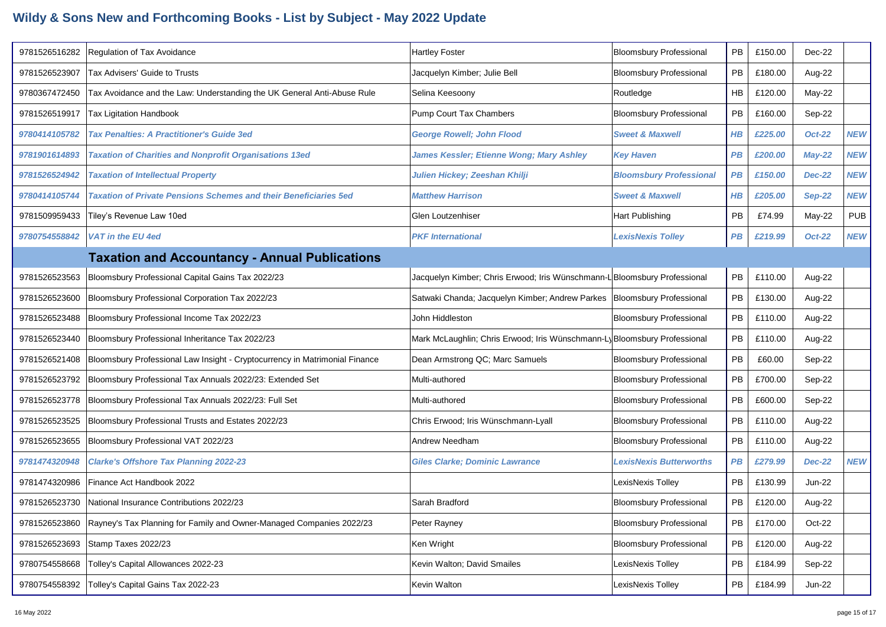| 9781526516282 | <b>Regulation of Tax Avoidance</b>                                          | <b>Hartley Foster</b>                                                     | <b>Bloomsbury Professional</b> | PB        | £150.00 | Dec-22        |            |
|---------------|-----------------------------------------------------------------------------|---------------------------------------------------------------------------|--------------------------------|-----------|---------|---------------|------------|
| 9781526523907 | Tax Advisers' Guide to Trusts                                               | Jacquelyn Kimber; Julie Bell                                              | <b>Bloomsbury Professional</b> | PB        | £180.00 | Aug-22        |            |
| 9780367472450 | Tax Avoidance and the Law: Understanding the UK General Anti-Abuse Rule     | Selina Keesoony                                                           | Routledge                      | <b>HB</b> | £120.00 | May-22        |            |
| 9781526519917 | Tax Ligitation Handbook                                                     | Pump Court Tax Chambers                                                   | <b>Bloomsbury Professional</b> | PB        | £160.00 | Sep-22        |            |
| 9780414105782 | <b>Tax Penalties: A Practitioner's Guide 3ed</b>                            | <b>George Rowell; John Flood</b>                                          | <b>Sweet &amp; Maxwell</b>     | $H$ $B$   | £225.00 | <b>Oct-22</b> | <b>NEW</b> |
| 9781901614893 | <b>Taxation of Charities and Nonprofit Organisations 13ed</b>               | James Kessler; Etienne Wong; Mary Ashley                                  | <b>Key Haven</b>               | <b>PB</b> | £200.00 | $May-22$      | <b>NEW</b> |
| 9781526524942 | <b>Taxation of Intellectual Property</b>                                    | Julien Hickey; Zeeshan Khilji                                             | <b>Bloomsbury Professional</b> | <b>PB</b> | £150.00 | <b>Dec-22</b> | <b>NEW</b> |
| 9780414105744 | <b>Taxation of Private Pensions Schemes and their Beneficiaries 5ed</b>     | <b>Matthew Harrison</b>                                                   | <b>Sweet &amp; Maxwell</b>     | $H$ $B$   | £205.00 | <b>Sep-22</b> | <b>NEW</b> |
| 9781509959433 | Tiley's Revenue Law 10ed                                                    | Glen Loutzenhiser                                                         | Hart Publishing                | <b>PB</b> | £74.99  | May-22        | <b>PUB</b> |
| 9780754558842 | <b>VAT in the EU 4ed</b>                                                    | <b>PKF International</b>                                                  | <b>LexisNexis Tolley</b>       | PB        | £219.99 | <b>Oct-22</b> | <b>NEW</b> |
|               | <b>Taxation and Accountancy - Annual Publications</b>                       |                                                                           |                                |           |         |               |            |
| 9781526523563 | Bloomsbury Professional Capital Gains Tax 2022/23                           | Jacquelyn Kimber; Chris Erwood; Iris Wünschmann-L Bloomsbury Professional |                                | PB        | £110.00 | Aug-22        |            |
| 9781526523600 | Bloomsbury Professional Corporation Tax 2022/23                             | Satwaki Chanda; Jacquelyn Kimber; Andrew Parkes   Bloomsbury Professional |                                | PB        | £130.00 | Aug-22        |            |
| 9781526523488 | Bloomsbury Professional Income Tax 2022/23                                  | John Hiddleston                                                           | <b>Bloomsbury Professional</b> | PB        | £110.00 | Aug-22        |            |
| 9781526523440 | Bloomsbury Professional Inheritance Tax 2022/23                             | Mark McLaughlin; Chris Erwood; Iris Wünschmann-Ly Bloomsbury Professional |                                | PB        | £110.00 | Aug-22        |            |
| 9781526521408 | Bloomsbury Professional Law Insight - Cryptocurrency in Matrimonial Finance | Dean Armstrong QC; Marc Samuels                                           | <b>Bloomsbury Professional</b> | PB        | £60.00  | Sep-22        |            |
| 9781526523792 | Bloomsbury Professional Tax Annuals 2022/23: Extended Set                   | Multi-authored                                                            | <b>Bloomsbury Professional</b> | PB        | £700.00 | Sep-22        |            |
| 9781526523778 | Bloomsbury Professional Tax Annuals 2022/23: Full Set                       | Multi-authored                                                            | <b>Bloomsbury Professional</b> | PB        | £600.00 | Sep-22        |            |
| 9781526523525 | Bloomsbury Professional Trusts and Estates 2022/23                          | Chris Erwood; Iris Wünschmann-Lyall                                       | <b>Bloomsbury Professional</b> | PB        | £110.00 | Aug-22        |            |
| 9781526523655 | Bloomsbury Professional VAT 2022/23                                         | Andrew Needham                                                            | <b>Bloomsbury Professional</b> | PB        | £110.00 | Aug-22        |            |
| 9781474320948 | <b>Clarke's Offshore Tax Planning 2022-23</b>                               | <b>Giles Clarke; Dominic Lawrance</b>                                     | <b>LexisNexis Butterworths</b> | PB        | £279.99 | <b>Dec-22</b> | <b>NEW</b> |
| 9781474320986 | Finance Act Handbook 2022                                                   |                                                                           | LexisNexis Tolley              | PB        | £130.99 | <b>Jun-22</b> |            |
| 9781526523730 | National Insurance Contributions 2022/23                                    | Sarah Bradford                                                            | <b>Bloomsbury Professional</b> | PB        | £120.00 | Aug-22        |            |
| 9781526523860 | Rayney's Tax Planning for Family and Owner-Managed Companies 2022/23        | Peter Rayney                                                              | <b>Bloomsbury Professional</b> | PB        | £170.00 | Oct-22        |            |
| 9781526523693 | Stamp Taxes 2022/23                                                         | Ken Wright                                                                | <b>Bloomsbury Professional</b> | PB        | £120.00 | Aug-22        |            |
| 9780754558668 | Tolley's Capital Allowances 2022-23                                         | Kevin Walton; David Smailes                                               | LexisNexis Tolley              | PB        | £184.99 | Sep-22        |            |
| 9780754558392 | Tolley's Capital Gains Tax 2022-23                                          | Kevin Walton                                                              | LexisNexis Tolley              | PB        | £184.99 | <b>Jun-22</b> |            |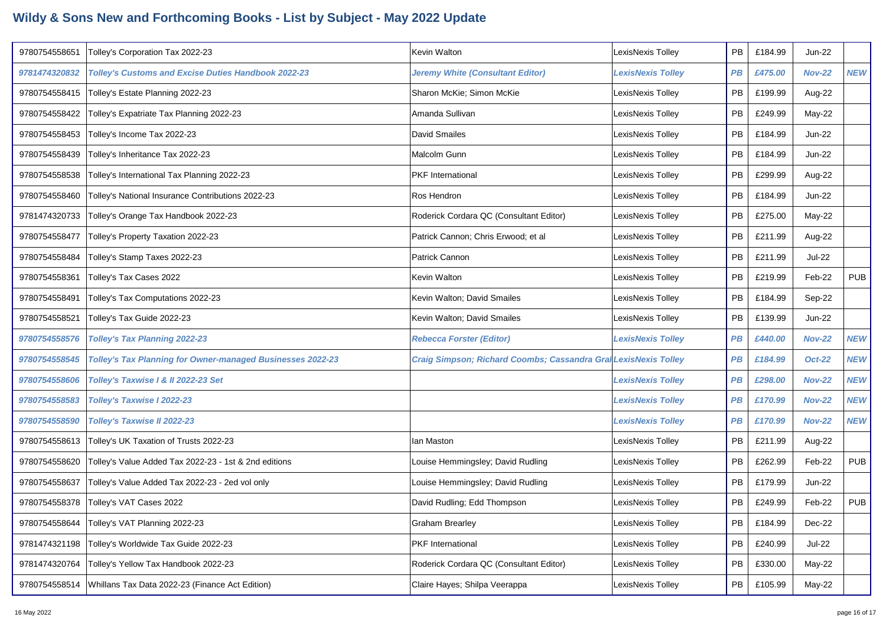| 9780754558651 | Tolley's Corporation Tax 2022-23                                  | Kevin Walton                                                    | LexisNexis Tolley        | PB        | £184.99 | <b>Jun-22</b> |            |
|---------------|-------------------------------------------------------------------|-----------------------------------------------------------------|--------------------------|-----------|---------|---------------|------------|
| 9781474320832 | <b>Tolley's Customs and Excise Duties Handbook 2022-23</b>        | <b>Jeremy White (Consultant Editor)</b>                         | <b>LexisNexis Tolley</b> | PB        | £475.00 | <b>Nov-22</b> | <b>NEW</b> |
| 9780754558415 | Tolley's Estate Planning 2022-23                                  | Sharon McKie; Simon McKie                                       | LexisNexis Tolley        | PB        | £199.99 | Aug-22        |            |
| 9780754558422 | Tolley's Expatriate Tax Planning 2022-23                          | Amanda Sullivan                                                 | LexisNexis Tolley        | PB        | £249.99 | May-22        |            |
| 9780754558453 | Tolley's Income Tax 2022-23                                       | <b>David Smailes</b>                                            | LexisNexis Tolley        | PB        | £184.99 | <b>Jun-22</b> |            |
| 9780754558439 | Tolley's Inheritance Tax 2022-23                                  | Malcolm Gunn                                                    | LexisNexis Tolley        | PB        | £184.99 | <b>Jun-22</b> |            |
| 9780754558538 | Tolley's International Tax Planning 2022-23                       | PKF International                                               | LexisNexis Tolley        | PB        | £299.99 | Aug-22        |            |
| 9780754558460 | Tolley's National Insurance Contributions 2022-23                 | Ros Hendron                                                     | LexisNexis Tolley        | PB        | £184.99 | <b>Jun-22</b> |            |
| 9781474320733 | Tolley's Orange Tax Handbook 2022-23                              | Roderick Cordara QC (Consultant Editor)                         | LexisNexis Tolley        | PB        | £275.00 | May-22        |            |
| 9780754558477 | Tolley's Property Taxation 2022-23                                | Patrick Cannon; Chris Erwood; et al                             | LexisNexis Tolley        | PB        | £211.99 | Aug-22        |            |
| 9780754558484 | Tolley's Stamp Taxes 2022-23                                      | Patrick Cannon                                                  | LexisNexis Tolley        | <b>PB</b> | £211.99 | Jul-22        |            |
| 9780754558361 | Tolley's Tax Cases 2022                                           | Kevin Walton                                                    | LexisNexis Tolley        | PB        | £219.99 | Feb-22        | <b>PUB</b> |
| 9780754558491 | Tolley's Tax Computations 2022-23                                 | Kevin Walton; David Smailes                                     | LexisNexis Tolley        | PB        | £184.99 | Sep-22        |            |
| 9780754558521 | Tolley's Tax Guide 2022-23                                        | Kevin Walton; David Smailes                                     | LexisNexis Tolley        | PB        | £139.99 | <b>Jun-22</b> |            |
| 9780754558576 | <b>Tolley's Tax Planning 2022-23</b>                              | <b>Rebecca Forster (Editor)</b>                                 | <b>LexisNexis Tolley</b> | <b>PB</b> | £440.00 | <b>Nov-22</b> | <b>NEW</b> |
| 9780754558545 | <b>Tolley's Tax Planning for Owner-managed Businesses 2022-23</b> | Craig Simpson; Richard Coombs; Cassandra Gral LexisNexis Tolley |                          | PB        | £184.99 | <b>Oct-22</b> | <b>NEW</b> |
| 9780754558606 | Tolley's Taxwise I & II 2022-23 Set                               |                                                                 | <b>LexisNexis Tolley</b> | PB        | £298.00 | <b>Nov-22</b> | <b>NEW</b> |
| 9780754558583 | Tolley's Taxwise I 2022-23                                        |                                                                 | <b>LexisNexis Tolley</b> | PB        | £170.99 | <b>Nov-22</b> | <b>NEW</b> |
| 9780754558590 | Tolley's Taxwise II 2022-23                                       |                                                                 | <b>LexisNexis Tolley</b> | <b>PB</b> | £170.99 | <b>Nov-22</b> | <b>NEW</b> |
| 9780754558613 | Tolley's UK Taxation of Trusts 2022-23                            | lan Maston                                                      | LexisNexis Tolley        | PB        | £211.99 | Aug-22        |            |
| 9780754558620 | Tolley's Value Added Tax 2022-23 - 1st & 2nd editions             | Louise Hemmingsley; David Rudling                               | LexisNexis Tolley        | PB        | £262.99 | Feb-22        | <b>PUB</b> |
| 9780754558637 | Tolley's Value Added Tax 2022-23 - 2ed vol only                   | Louise Hemmingsley; David Rudling                               | LexisNexis Tolley        | PB        | £179.99 | <b>Jun-22</b> |            |
| 9780754558378 | Tolley's VAT Cases 2022                                           | David Rudling; Edd Thompson                                     | LexisNexis Tolley        | <b>PB</b> | £249.99 | Feb-22        | <b>PUB</b> |
| 9780754558644 | Tolley's VAT Planning 2022-23                                     | <b>Graham Brearley</b>                                          | LexisNexis Tolley        | PB        | £184.99 | Dec-22        |            |
| 9781474321198 | Tolley's Worldwide Tax Guide 2022-23                              | PKF International                                               | LexisNexis Tolley        | PB        | £240.99 | <b>Jul-22</b> |            |
| 9781474320764 | Tolley's Yellow Tax Handbook 2022-23                              | Roderick Cordara QC (Consultant Editor)                         | LexisNexis Tolley        | PB        | £330.00 | May-22        |            |
|               | 9780754558514   Whillans Tax Data 2022-23 (Finance Act Edition)   | Claire Hayes; Shilpa Veerappa                                   | LexisNexis Tolley        | PB        | £105.99 | May-22        |            |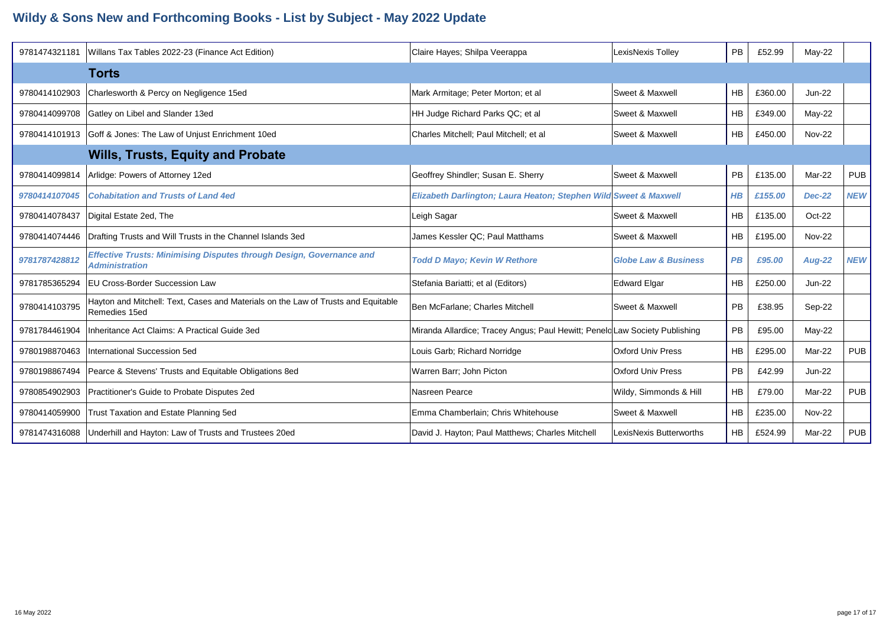| 9781474321181 | Willans Tax Tables 2022-23 (Finance Act Edition)                                                     | Claire Hayes; Shilpa Veerappa                                               | LexisNexis Tolley               | <b>PB</b> | £52.99  | May-22        |            |
|---------------|------------------------------------------------------------------------------------------------------|-----------------------------------------------------------------------------|---------------------------------|-----------|---------|---------------|------------|
|               | Torts                                                                                                |                                                                             |                                 |           |         |               |            |
| 9780414102903 | Charlesworth & Percy on Negligence 15ed                                                              | Mark Armitage; Peter Morton; et al                                          | Sweet & Maxwell                 | <b>HB</b> | £360.00 | <b>Jun-22</b> |            |
| 9780414099708 | Gatley on Libel and Slander 13ed                                                                     | HH Judge Richard Parks QC; et al                                            | <b>Sweet &amp; Maxwell</b>      | <b>HB</b> | £349.00 | $May-22$      |            |
|               | 9780414101913 Goff & Jones: The Law of Unjust Enrichment 10ed                                        | Charles Mitchell: Paul Mitchell: et al                                      | <b>Sweet &amp; Maxwell</b>      | HB.       | £450.00 | <b>Nov-22</b> |            |
|               | <b>Wills, Trusts, Equity and Probate</b>                                                             |                                                                             |                                 |           |         |               |            |
| 9780414099814 | Arlidge: Powers of Attorney 12ed                                                                     | Geoffrey Shindler; Susan E. Sherry                                          | Sweet & Maxwell                 | <b>PB</b> | £135.00 | Mar-22        | <b>PUB</b> |
| 9780414107045 | <b>Cohabitation and Trusts of Land 4ed</b>                                                           | Elizabeth Darlington; Laura Heaton; Stephen Wild Sweet & Maxwell            |                                 | $H$ $B$   | £155.00 | <b>Dec-22</b> | <b>NEW</b> |
| 9780414078437 | Digital Estate 2ed, The                                                                              | Leigh Sagar                                                                 | Sweet & Maxwell                 | <b>HB</b> | £135.00 | Oct-22        |            |
| 9780414074446 | Drafting Trusts and Will Trusts in the Channel Islands 3ed                                           | James Kessler QC; Paul Matthams                                             | Sweet & Maxwell                 | <b>HB</b> | £195.00 | <b>Nov-22</b> |            |
| 9781787428812 | <b>Effective Trusts: Minimising Disputes through Design, Governance and</b><br><b>Administration</b> | <b>Todd D Mayo; Kevin W Rethore</b>                                         | <b>Globe Law &amp; Business</b> | <b>PB</b> | £95.00  | <b>Aug-22</b> | <b>NEW</b> |
| 9781785365294 | <b>IEU Cross-Border Succession Law</b>                                                               | Stefania Bariatti; et al (Editors)                                          | <b>Edward Elgar</b>             | <b>HB</b> | £250.00 | <b>Jun-22</b> |            |
| 9780414103795 | Hayton and Mitchell: Text, Cases and Materials on the Law of Trusts and Equitable<br>Remedies 15ed   | Ben McFarlane; Charles Mitchell                                             | Sweet & Maxwell                 | <b>PB</b> | £38.95  | Sep-22        |            |
| 9781784461904 | Inheritance Act Claims: A Practical Guide 3ed                                                        | Miranda Allardice; Tracey Angus; Paul Hewitt; Peneld Law Society Publishing |                                 | <b>PB</b> | £95.00  | May-22        |            |
| 9780198870463 | International Succession 5ed                                                                         | Louis Garb; Richard Norridge                                                | <b>Oxford Univ Press</b>        | <b>HB</b> | £295.00 | Mar-22        | <b>PUB</b> |
| 9780198867494 | Pearce & Stevens' Trusts and Equitable Obligations 8ed                                               | Warren Barr; John Picton                                                    | <b>Oxford Univ Press</b>        | <b>PB</b> | £42.99  | $Jun-22$      |            |
| 9780854902903 | Practitioner's Guide to Probate Disputes 2ed                                                         | Nasreen Pearce                                                              | Wildy, Simmonds & Hill          | <b>HB</b> | £79.00  | Mar-22        | <b>PUB</b> |
| 9780414059900 | Trust Taxation and Estate Planning 5ed                                                               | Emma Chamberlain; Chris Whitehouse                                          | Sweet & Maxwell                 | <b>HB</b> | £235.00 | <b>Nov-22</b> |            |
|               | 9781474316088   Underhill and Hayton: Law of Trusts and Trustees 20ed                                | David J. Hayton; Paul Matthews; Charles Mitchell                            | LexisNexis Butterworths         | HB        | £524.99 | Mar-22        | <b>PUB</b> |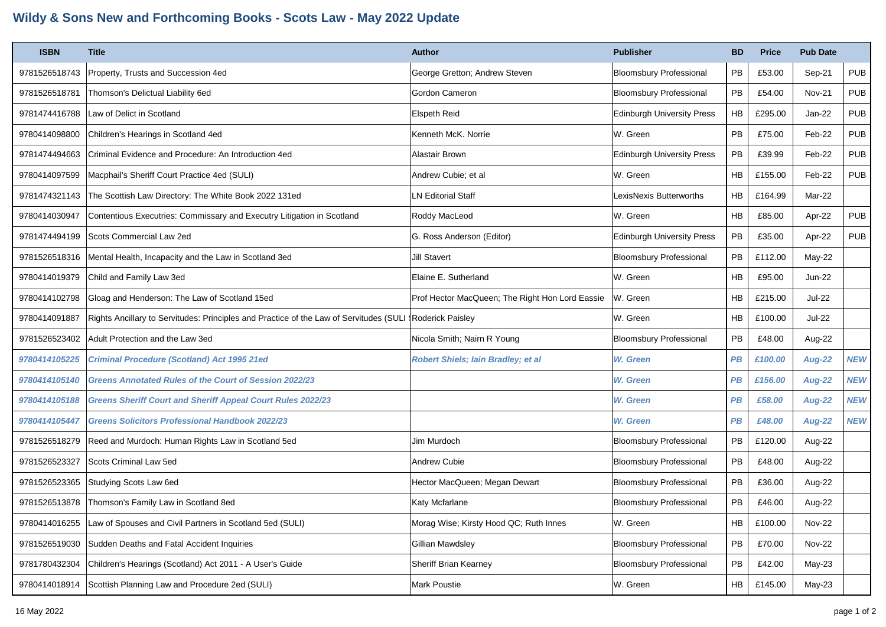## **Wildy & Sons New and Forthcoming Books - Scots Law - May 2022 Update**

| <b>ISBN</b>   | <b>Title</b>                                                                                              | <b>Author</b>                                   | <b>Publisher</b>                  | <b>BD</b>                  | <b>Price</b> | <b>Pub Date</b> |            |
|---------------|-----------------------------------------------------------------------------------------------------------|-------------------------------------------------|-----------------------------------|----------------------------|--------------|-----------------|------------|
| 9781526518743 | Property, Trusts and Succession 4ed                                                                       | George Gretton; Andrew Steven                   | <b>Bloomsbury Professional</b>    | PB                         | £53.00       | Sep-21          | <b>PUB</b> |
| 9781526518781 | Thomson's Delictual Liability 6ed                                                                         | Gordon Cameron                                  | <b>Bloomsbury Professional</b>    | PB                         | £54.00       | <b>Nov-21</b>   | <b>PUB</b> |
| 9781474416788 | Law of Delict in Scotland                                                                                 | Elspeth Reid                                    | <b>Edinburgh University Press</b> | HB                         | £295.00      | Jan-22          | <b>PUB</b> |
| 9780414098800 | Children's Hearings in Scotland 4ed                                                                       | Kenneth McK. Norrie                             | W. Green                          | PB                         | £75.00       | Feb-22          | <b>PUB</b> |
| 9781474494663 | Criminal Evidence and Procedure: An Introduction 4ed                                                      | Alastair Brown                                  | <b>Edinburgh University Press</b> | PB                         | £39.99       | Feb-22          | <b>PUB</b> |
| 9780414097599 | Macphail's Sheriff Court Practice 4ed (SULI)                                                              | Andrew Cubie; et al                             | W. Green                          | <b>HB</b>                  | £155.00      | Feb-22          | <b>PUB</b> |
| 9781474321143 | The Scottish Law Directory: The White Book 2022 131ed                                                     | <b>LN Editorial Staff</b>                       | LexisNexis Butterworths           | HB                         | £164.99      | Mar-22          |            |
| 9780414030947 | Contentious Executries: Commissary and Executry Litigation in Scotland                                    | Roddy MacLeod                                   | W. Green                          | HB                         | £85.00       | Apr-22          | <b>PUB</b> |
| 9781474494199 | Scots Commercial Law 2ed                                                                                  | G. Ross Anderson (Editor)                       | <b>Edinburgh University Press</b> | PB                         | £35.00       | Apr-22          | <b>PUB</b> |
| 9781526518316 | Mental Health, Incapacity and the Law in Scotland 3ed                                                     | <b>Jill Stavert</b>                             | <b>Bloomsbury Professional</b>    | <b>PB</b>                  | £112.00      | May-22          |            |
| 9780414019379 | Child and Family Law 3ed                                                                                  | Elaine E. Sutherland                            | W. Green                          | HB                         | £95.00       | Jun-22          |            |
| 9780414102798 | Gloag and Henderson: The Law of Scotland 15ed                                                             | Prof Hector MacQueen; The Right Hon Lord Eassie | W. Green                          | <b>HB</b>                  | £215.00      | <b>Jul-22</b>   |            |
| 9780414091887 | Rights Ancillary to Servitudes: Principles and Practice of the Law of Servitudes (SULI   Roderick Paisley |                                                 | W. Green                          | <b>HB</b>                  | £100.00      | Jul-22          |            |
| 9781526523402 | Adult Protection and the Law 3ed                                                                          | Nicola Smith; Nairn R Young                     | <b>Bloomsbury Professional</b>    | PB                         | £48.00       | Aug-22          |            |
| 9780414105225 | <b>Criminal Procedure (Scotland) Act 1995 21ed</b>                                                        | <b>Robert Shiels; lain Bradley; et al</b>       | W. Green                          | PB                         | £100.00      | <b>Aug-22</b>   | <b>NEW</b> |
| 9780414105140 | <b>Greens Annotated Rules of the Court of Session 2022/23</b>                                             |                                                 | W. Green                          | <b>PB</b>                  | £156.00      | <b>Aug-22</b>   | <b>NEW</b> |
| 9780414105188 | <b>Greens Sheriff Court and Sheriff Appeal Court Rules 2022/23</b>                                        |                                                 | W. Green                          | <b>PB</b>                  | £58.00       | <b>Aug-22</b>   | <b>NEW</b> |
| 9780414105447 | Greens Solicitors Professional Handbook 2022/23                                                           |                                                 | W. Green                          | PB                         | £48.00       | <b>Aug-22</b>   | <b>NEW</b> |
| 9781526518279 | Reed and Murdoch: Human Rights Law in Scotland 5ed                                                        | Jim Murdoch                                     | <b>Bloomsbury Professional</b>    | PB                         | £120.00      | Aug-22          |            |
| 9781526523327 | Scots Criminal Law 5ed                                                                                    | Andrew Cubie                                    | <b>Bloomsbury Professional</b>    | PB                         | £48.00       | Aug-22          |            |
| 9781526523365 | Studying Scots Law 6ed                                                                                    | Hector MacQueen; Megan Dewart                   | <b>Bloomsbury Professional</b>    | PB                         | £36.00       | Aug-22          |            |
| 9781526513878 | Thomson's Family Law in Scotland 8ed                                                                      | Katy Mcfarlane                                  | <b>Bloomsbury Professional</b>    | PB                         | £46.00       | Aug-22          |            |
| 9780414016255 | Law of Spouses and Civil Partners in Scotland 5ed (SULI)                                                  | Morag Wise; Kirsty Hood QC; Ruth Innes          | W. Green                          | HB                         | £100.00      | <b>Nov-22</b>   |            |
| 9781526519030 | Sudden Deaths and Fatal Accident Inquiries                                                                | Gillian Mawdsley                                | <b>Bloomsbury Professional</b>    | $\ensuremath{\mathsf{PB}}$ | £70.00       | <b>Nov-22</b>   |            |
| 9781780432304 | Children's Hearings (Scotland) Act 2011 - A User's Guide                                                  | Sheriff Brian Kearney                           | <b>Bloomsbury Professional</b>    | PB                         | £42.00       | May-23          |            |
| 9780414018914 | Scottish Planning Law and Procedure 2ed (SULI)                                                            | Mark Poustie                                    | W. Green                          | HB                         | £145.00      | May-23          |            |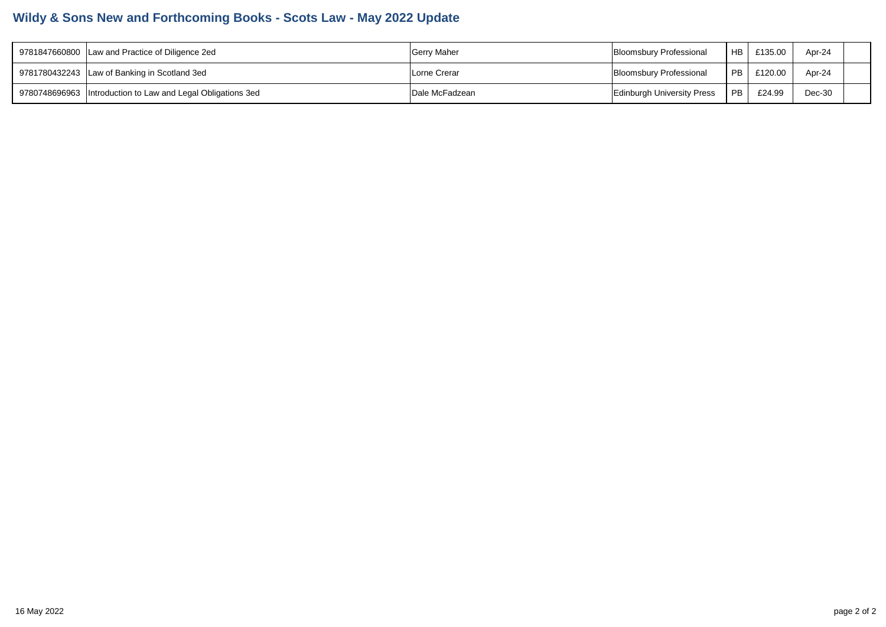## **Wildy & Sons New and Forthcoming Books - Scots Law - May 2022 Update**

| 9781847660800 Law and Practice of Diligence 2ed              | <b>Gerry Maher</b> | Bloomsbury Professional           | HB <sub>1</sub> | £135.00 | Apr-24 |  |
|--------------------------------------------------------------|--------------------|-----------------------------------|-----------------|---------|--------|--|
| 9781780432243 Law of Banking in Scotland 3ed                 | Lorne Crerar       | Bloomsbury Professional           | PB I            | £120.00 | Apr-24 |  |
| 9780748696963  Introduction to Law and Legal Obligations 3ed | Dale McFadzean     | <b>Edinburgh University Press</b> | PB.             | £24.99  | Dec-30 |  |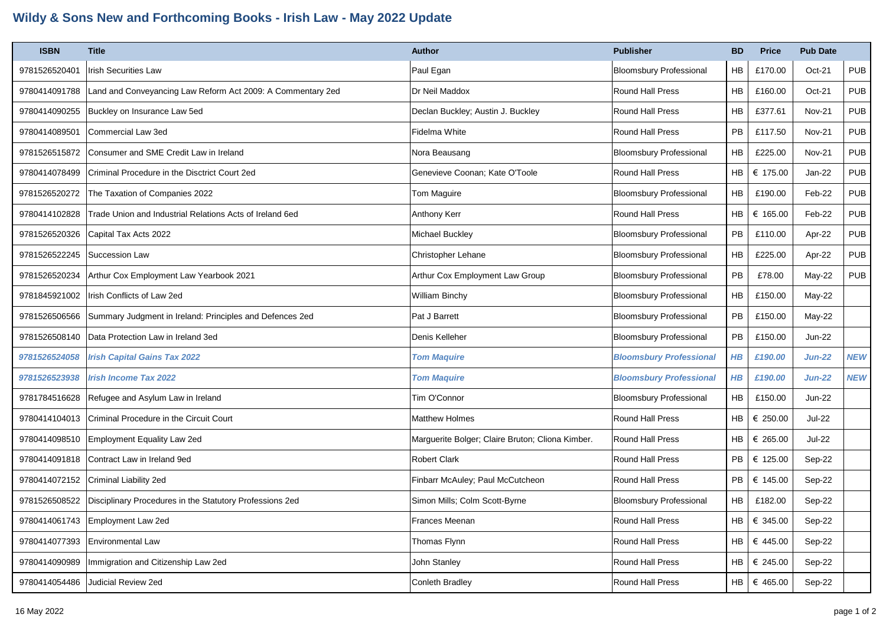## **Wildy & Sons New and Forthcoming Books - Irish Law - May 2022 Update**

| <b>ISBN</b>   | <b>Title</b>                                                | Author                                           | <b>Publisher</b>               | <b>BD</b> | <b>Price</b> | <b>Pub Date</b> |            |
|---------------|-------------------------------------------------------------|--------------------------------------------------|--------------------------------|-----------|--------------|-----------------|------------|
| 9781526520401 | <b>Irish Securities Law</b>                                 | Paul Egan                                        | <b>Bloomsbury Professional</b> | HB        | £170.00      | Oct-21          | <b>PUB</b> |
| 9780414091788 | Land and Conveyancing Law Reform Act 2009: A Commentary 2ed | Dr Neil Maddox                                   | Round Hall Press               | <b>HB</b> | £160.00      | Oct-21          | <b>PUB</b> |
| 9780414090255 | Buckley on Insurance Law 5ed                                | Declan Buckley; Austin J. Buckley                | Round Hall Press               | <b>HB</b> | £377.61      | Nov-21          | <b>PUB</b> |
| 9780414089501 | Commercial Law 3ed                                          | Fidelma White                                    | <b>Round Hall Press</b>        | <b>PB</b> | £117.50      | <b>Nov-21</b>   | <b>PUB</b> |
| 9781526515872 | Consumer and SME Credit Law in Ireland                      | Nora Beausang                                    | <b>Bloomsbury Professional</b> | <b>HB</b> | £225.00      | <b>Nov-21</b>   | <b>PUB</b> |
| 9780414078499 | Criminal Procedure in the Disctrict Court 2ed               | Genevieve Coonan; Kate O'Toole                   | <b>Round Hall Press</b>        | <b>HB</b> | € 175.00     | Jan-22          | <b>PUB</b> |
| 9781526520272 | The Taxation of Companies 2022                              | Tom Maguire                                      | <b>Bloomsbury Professional</b> | <b>HB</b> | £190.00      | Feb-22          | <b>PUB</b> |
| 9780414102828 | Trade Union and Industrial Relations Acts of Ireland 6ed    | Anthony Kerr                                     | Round Hall Press               | HB        | € 165.00     | Feb-22          | <b>PUB</b> |
| 9781526520326 | Capital Tax Acts 2022                                       | Michael Buckley                                  | <b>Bloomsbury Professional</b> | <b>PB</b> | £110.00      | Apr-22          | <b>PUB</b> |
| 9781526522245 | Succession Law                                              | Christopher Lehane                               | <b>Bloomsbury Professional</b> | <b>HB</b> | £225.00      | Apr-22          | <b>PUB</b> |
| 9781526520234 | Arthur Cox Employment Law Yearbook 2021                     | Arthur Cox Employment Law Group                  | <b>Bloomsbury Professional</b> | PB        | £78.00       | May-22          | <b>PUB</b> |
| 9781845921002 | Irish Conflicts of Law 2ed                                  | William Binchy                                   | <b>Bloomsbury Professional</b> | <b>HB</b> | £150.00      | May-22          |            |
| 9781526506566 | Summary Judgment in Ireland: Principles and Defences 2ed    | Pat J Barrett                                    | <b>Bloomsbury Professional</b> | <b>PB</b> | £150.00      | May-22          |            |
| 9781526508140 | Data Protection Law in Ireland 3ed                          | Denis Kelleher                                   | <b>Bloomsbury Professional</b> | PB        | £150.00      | <b>Jun-22</b>   |            |
| 9781526524058 | <b>Irish Capital Gains Tax 2022</b>                         | <b>Tom Maquire</b>                               | <b>Bloomsbury Professional</b> | $H\!B$    | £190.00      | <b>Jun-22</b>   | <b>NEW</b> |
| 9781526523938 | <b>Irish Income Tax 2022</b>                                | <b>Tom Maquire</b>                               | <b>Bloomsbury Professional</b> | $H$ $B$   | £190.00      | <b>Jun-22</b>   | <b>NEW</b> |
| 9781784516628 | Refugee and Asylum Law in Ireland                           | Tim O'Connor                                     | <b>Bloomsbury Professional</b> | HB        | £150.00      | <b>Jun-22</b>   |            |
| 9780414104013 | Criminal Procedure in the Circuit Court                     | <b>Matthew Holmes</b>                            | Round Hall Press               | <b>HB</b> | € 250.00     | <b>Jul-22</b>   |            |
| 9780414098510 | Employment Equality Law 2ed                                 | Marguerite Bolger; Claire Bruton; Cliona Kimber. | Round Hall Press               | HB        | € 265.00     | <b>Jul-22</b>   |            |
| 9780414091818 | Contract Law in Ireland 9ed                                 | <b>Robert Clark</b>                              | <b>Round Hall Press</b>        | PB        | € 125.00     | Sep-22          |            |
| 9780414072152 | Criminal Liability 2ed                                      | Finbarr McAuley; Paul McCutcheon                 | <b>Round Hall Press</b>        | <b>PB</b> | € 145.00     | Sep-22          |            |
| 9781526508522 | Disciplinary Procedures in the Statutory Professions 2ed    | Simon Mills; Colm Scott-Byrne                    | <b>Bloomsbury Professional</b> | HB        | £182.00      | Sep-22          |            |
| 9780414061743 | Employment Law 2ed                                          | Frances Meenan                                   | <b>Round Hall Press</b>        | HB        | € 345.00     | Sep-22          |            |
| 9780414077393 | <b>Environmental Law</b>                                    | Thomas Flynn                                     | Round Hall Press               | <b>HB</b> | € 445.00     | Sep-22          |            |
| 9780414090989 | Immigration and Citizenship Law 2ed                         | John Stanley                                     | <b>Round Hall Press</b>        | HB        | € 245.00     | Sep-22          |            |
| 9780414054486 | Judicial Review 2ed                                         | <b>Conleth Bradley</b>                           | <b>Round Hall Press</b>        | <b>HB</b> | € 465.00     | Sep-22          |            |